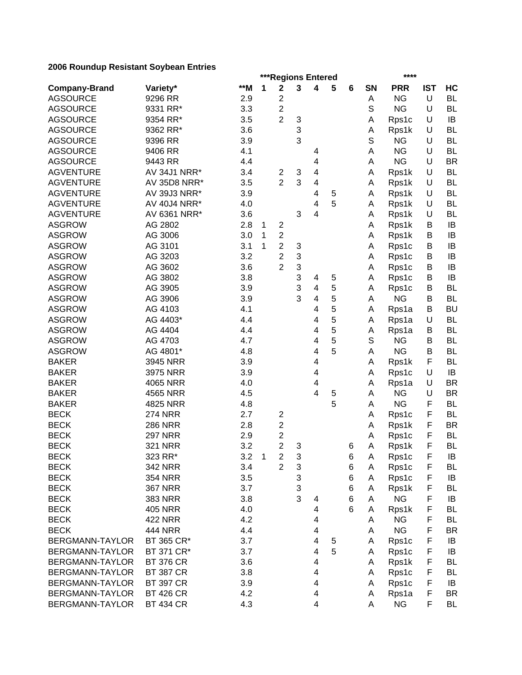|                        |                  |       |                | ***Regions Entered                        |   |                         |   |   |           | ****       |            |           |
|------------------------|------------------|-------|----------------|-------------------------------------------|---|-------------------------|---|---|-----------|------------|------------|-----------|
| <b>Company-Brand</b>   | Variety*         | $*$ M | 1              | $\mathbf 2$                               | 3 | 4                       | 5 | 6 | <b>SN</b> | <b>PRR</b> | <b>IST</b> | HC        |
| <b>AGSOURCE</b>        | 9296 RR          | 2.9   |                | $\overline{c}$                            |   |                         |   |   | Α         | <b>NG</b>  | U          | <b>BL</b> |
| <b>AGSOURCE</b>        | 9331 RR*         | 3.3   |                | $\overline{2}$                            |   |                         |   |   | S         | <b>NG</b>  | U          | <b>BL</b> |
| <b>AGSOURCE</b>        | 9354 RR*         | 3.5   |                | $\overline{2}$                            | 3 |                         |   |   | А         | Rps1c      | U          | IB        |
| <b>AGSOURCE</b>        | 9362 RR*         | 3.6   |                |                                           | 3 |                         |   |   | Α         | Rps1k      | U          | <b>BL</b> |
| <b>AGSOURCE</b>        | 9396 RR          | 3.9   |                |                                           | 3 |                         |   |   | S         | <b>NG</b>  | U          | <b>BL</b> |
| <b>AGSOURCE</b>        | 9406 RR          | 4.1   |                |                                           |   | 4                       |   |   | Α         | <b>NG</b>  | U          | <b>BL</b> |
| <b>AGSOURCE</b>        | 9443 RR          | 4.4   |                |                                           |   | $\overline{4}$          |   |   | Α         | <b>NG</b>  | U          | <b>BR</b> |
| <b>AGVENTURE</b>       | AV 34J1 NRR*     | 3.4   |                | $\overline{c}$                            | 3 | 4                       |   |   | Α         | Rps1k      | U          | <b>BL</b> |
| <b>AGVENTURE</b>       | AV 35D8 NRR*     | 3.5   |                | $\overline{2}$                            | 3 | 4                       |   |   | Α         | Rps1k      | U          | <b>BL</b> |
| <b>AGVENTURE</b>       | AV 39J3 NRR*     | 3.9   |                |                                           |   | 4                       | 5 |   | A         | Rps1k      | U          | <b>BL</b> |
| <b>AGVENTURE</b>       | AV 40J4 NRR*     | 4.0   |                |                                           |   | 4                       | 5 |   | A         | Rps1k      | U          | <b>BL</b> |
| <b>AGVENTURE</b>       | AV 6361 NRR*     | 3.6   |                |                                           | 3 | 4                       |   |   | A         | Rps1k      | U          | <b>BL</b> |
| <b>ASGROW</b>          | AG 2802          | 2.8   | 1              | $\overline{\mathbf{c}}$                   |   |                         |   |   | A         | Rps1k      | В          | IB        |
| <b>ASGROW</b>          | AG 3006          | 3.0   | 1              | $\overline{c}$                            |   |                         |   |   | Α         | Rps1k      | В          | IB        |
| <b>ASGROW</b>          | AG 3101          | 3.1   | 1              | $\overline{\mathbf{c}}$                   | 3 |                         |   |   | Α         | Rps1c      | B          | IB        |
| <b>ASGROW</b>          | AG 3203          | 3.2   |                | $\overline{c}$                            | 3 |                         |   |   | А         | Rps1c      | B          | IB        |
| <b>ASGROW</b>          | AG 3602          | 3.6   |                | $\overline{2}$                            | 3 |                         |   |   | А         | Rps1c      | B          | IB        |
| <b>ASGROW</b>          | AG 3802          | 3.8   |                |                                           | 3 | 4                       | 5 |   | Α         | Rps1c      | B          | IB        |
| <b>ASGROW</b>          | AG 3905          | 3.9   |                |                                           | 3 | $\overline{\mathbf{4}}$ | 5 |   | Α         | Rps1c      | B          | <b>BL</b> |
| <b>ASGROW</b>          | AG 3906          | 3.9   |                |                                           | 3 | $\overline{\mathbf{4}}$ | 5 |   | A         | <b>NG</b>  | B          | <b>BL</b> |
| <b>ASGROW</b>          | AG 4103          | 4.1   |                |                                           |   | 4                       | 5 |   | Α         | Rps1a      | B          | <b>BU</b> |
| <b>ASGROW</b>          | AG 4403*         | 4.4   |                |                                           |   | 4                       | 5 |   | Α         | Rps1a      | U          | <b>BL</b> |
| <b>ASGROW</b>          | AG 4404          | 4.4   |                |                                           |   | 4                       | 5 |   | Α         | Rps1a      | B          | <b>BL</b> |
| <b>ASGROW</b>          | AG 4703          | 4.7   |                |                                           |   | 4                       | 5 |   | S         | <b>NG</b>  | B          | <b>BL</b> |
| <b>ASGROW</b>          | AG 4801*         | 4.8   |                |                                           |   | 4                       | 5 |   | A         | <b>NG</b>  | B          | <b>BL</b> |
| <b>BAKER</b>           | 3945 NRR         | 3.9   |                |                                           |   | 4                       |   |   | Α         | Rps1k      | F          | <b>BL</b> |
| <b>BAKER</b>           | 3975 NRR         | 3.9   |                |                                           |   | 4                       |   |   | A         | Rps1c      | U          | IB        |
| <b>BAKER</b>           | 4065 NRR         | 4.0   |                |                                           |   | 4                       |   |   | A         | Rps1a      | U          | <b>BR</b> |
| <b>BAKER</b>           | 4565 NRR         | 4.5   |                |                                           |   | 4                       | 5 |   | Α         | <b>NG</b>  | U          | <b>BR</b> |
| <b>BAKER</b>           | 4825 NRR         | 4.8   |                |                                           |   |                         | 5 |   | А         | <b>NG</b>  | F          | <b>BL</b> |
| <b>BECK</b>            | <b>274 NRR</b>   | 2.7   |                |                                           |   |                         |   |   | А         |            | F          | <b>BL</b> |
| <b>BECK</b>            | <b>286 NRR</b>   |       |                | $\overline{\mathbf{c}}$                   |   |                         |   |   |           | Rps1c      | F          | <b>BR</b> |
|                        |                  | 2.8   |                | $\overline{\mathbf{c}}$                   |   |                         |   |   | А         | Rps1k      | F          | <b>BL</b> |
| <b>BECK</b>            | <b>297 NRR</b>   | 2.9   |                | $\overline{\mathbf{c}}$<br>$\overline{2}$ |   |                         |   |   | Α         | Rps1c      |            |           |
| <b>BECK</b>            | <b>321 NRR</b>   | 3.2   |                |                                           | 3 |                         |   | 6 | Α         | Rps1k      | F          | <b>BL</b> |
| <b>BECK</b>            | 323 RR*          | 3.2   | $\overline{1}$ | $\boldsymbol{2}$                          | 3 |                         |   | 6 | Α         | Rps1c      | F          | $\sf IB$  |
| <b>BECK</b>            | <b>342 NRR</b>   | 3.4   |                | $\overline{2}$                            | 3 |                         |   | 6 | A         | Rps1c      | F          | <b>BL</b> |
| <b>BECK</b>            | <b>354 NRR</b>   | 3.5   |                |                                           | 3 |                         |   | 6 | Α         | Rps1c      | F          | IB        |
| <b>BECK</b>            | <b>367 NRR</b>   | 3.7   |                |                                           | 3 |                         |   | 6 | Α         | Rps1k      | F          | <b>BL</b> |
| <b>BECK</b>            | <b>383 NRR</b>   | 3.8   |                |                                           | 3 | 4                       |   | 6 | Α         | <b>NG</b>  | F          | IB        |
| <b>BECK</b>            | <b>405 NRR</b>   | 4.0   |                |                                           |   | 4                       |   | 6 | Α         | Rps1k      | F          | <b>BL</b> |
| <b>BECK</b>            | 422 NRR          | 4.2   |                |                                           |   | 4                       |   |   | Α         | <b>NG</b>  | F          | BL        |
| <b>BECK</b>            | <b>444 NRR</b>   | 4.4   |                |                                           |   | 4                       |   |   | Α         | <b>NG</b>  | F          | <b>BR</b> |
| <b>BERGMANN-TAYLOR</b> | BT 365 CR*       | 3.7   |                |                                           |   | 4                       | 5 |   | Α         | Rps1c      | F          | IB        |
| BERGMANN-TAYLOR        | BT 371 CR*       | 3.7   |                |                                           |   | 4                       | 5 |   | Α         | Rps1c      | F          | IB        |
| BERGMANN-TAYLOR        | <b>BT 376 CR</b> | 3.6   |                |                                           |   | 4                       |   |   | Α         | Rps1k      | F          | <b>BL</b> |
| BERGMANN-TAYLOR        | <b>BT 387 CR</b> | 3.8   |                |                                           |   | 4                       |   |   | Α         | Rps1c      | F          | <b>BL</b> |
| BERGMANN-TAYLOR        | <b>BT 397 CR</b> | 3.9   |                |                                           |   | 4                       |   |   | Α         | Rps1c      | F          | IB        |
| BERGMANN-TAYLOR        | <b>BT 426 CR</b> | 4.2   |                |                                           |   | 4                       |   |   | A         | Rps1a      | F          | <b>BR</b> |
| BERGMANN-TAYLOR        | <b>BT 434 CR</b> | 4.3   |                |                                           |   | 4                       |   |   | Α         | <b>NG</b>  | F          | BL        |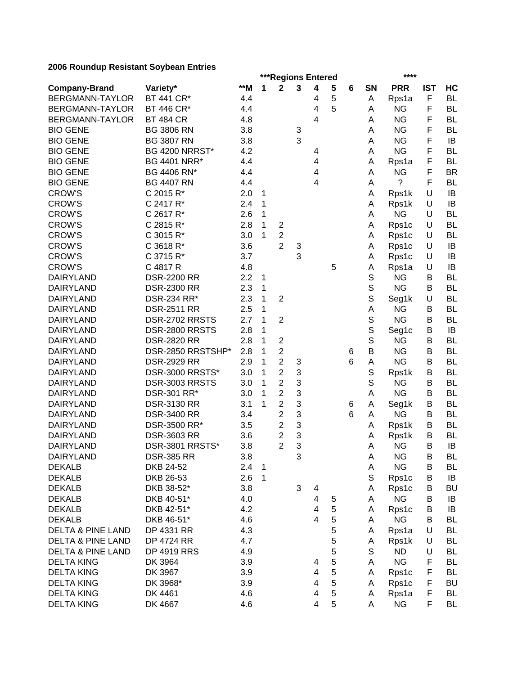|                              |                       |     |              | ***Regions Entered      |   |                         |   |   |             | ****               |            |           |
|------------------------------|-----------------------|-----|--------------|-------------------------|---|-------------------------|---|---|-------------|--------------------|------------|-----------|
| <b>Company-Brand</b>         | Variety*              | **M | 1            | $\mathbf 2$             | 3 | $\overline{\mathbf{4}}$ | 5 | 6 | SN          | <b>PRR</b>         | <b>IST</b> | HC        |
| BERGMANN-TAYLOR              | BT 441 CR*            | 4.4 |              |                         |   | 4                       | 5 |   | Α           | Rps1a              | F          | <b>BL</b> |
| BERGMANN-TAYLOR              | BT 446 CR*            | 4.4 |              |                         |   | 4                       | 5 |   | А           | <b>NG</b>          | F          | <b>BL</b> |
| BERGMANN-TAYLOR              | <b>BT 484 CR</b>      | 4.8 |              |                         |   | 4                       |   |   | А           | <b>NG</b>          | F          | <b>BL</b> |
| <b>BIO GENE</b>              | <b>BG 3806 RN</b>     | 3.8 |              |                         | 3 |                         |   |   | А           | <b>NG</b>          | F          | <b>BL</b> |
| <b>BIO GENE</b>              | <b>BG 3807 RN</b>     | 3.8 |              |                         | 3 |                         |   |   | А           | <b>NG</b>          | F          | IB        |
| <b>BIO GENE</b>              | <b>BG 4200 NRRST*</b> | 4.2 |              |                         |   | 4                       |   |   | Α           | <b>NG</b>          | F          | BL        |
| <b>BIO GENE</b>              | <b>BG 4401 NRR*</b>   | 4.4 |              |                         |   | 4                       |   |   | А           | Rps1a              | F          | <b>BL</b> |
| <b>BIO GENE</b>              | BG 4406 RN*           | 4.4 |              |                         |   | 4                       |   |   | Α           | <b>NG</b>          | F          | <b>BR</b> |
| <b>BIO GENE</b>              | <b>BG 4407 RN</b>     | 4.4 |              |                         |   | 4                       |   |   | А           | ?                  | F          | BL        |
| <b>CROW'S</b>                | C 2015 R*             | 2.0 | 1            |                         |   |                         |   |   | A           | Rps1k              | U          | IB        |
| <b>CROW'S</b>                | C 2417 R*             | 2.4 | 1            |                         |   |                         |   |   | Α           | Rps1k              | U          | IB        |
| <b>CROW'S</b>                | C 2617 R*             | 2.6 | 1            |                         |   |                         |   |   | A           | <b>NG</b>          | U          | <b>BL</b> |
| <b>CROW'S</b>                | C 2815 R*             | 2.8 | 1            | $\overline{2}$          |   |                         |   |   | A           | Rps1c              | U          | <b>BL</b> |
| <b>CROW'S</b>                | C 3015 R*             | 3.0 | 1            | $\overline{c}$          |   |                         |   |   | A           | Rps1c              | U          | BL        |
| <b>CROW'S</b>                | C 3618 R*             | 3.6 |              | $\overline{2}$          | 3 |                         |   |   | A           | Rps1c              | U          | IB        |
| <b>CROW'S</b>                | C 3715 R*             | 3.7 |              |                         | 3 |                         |   |   | A           | Rps1c              | U          | IB        |
| <b>CROW'S</b>                | C 4817 R              | 4.8 |              |                         |   |                         | 5 |   | А           | Rps1a              | U          | IB        |
| <b>DAIRYLAND</b>             | <b>DSR-2200 RR</b>    | 2.2 | $\mathbf 1$  |                         |   |                         |   |   | S           | <b>NG</b>          | В          | <b>BL</b> |
| <b>DAIRYLAND</b>             | <b>DSR-2300 RR</b>    | 2.3 | 1            |                         |   |                         |   |   | $\mathbb S$ | <b>NG</b>          | В          | <b>BL</b> |
| <b>DAIRYLAND</b>             | DSR-234 RR*           | 2.3 | 1            | $\overline{2}$          |   |                         |   |   | $\mathbb S$ | Seg1k              | U          | <b>BL</b> |
| <b>DAIRYLAND</b>             | <b>DSR-2511 RR</b>    | 2.5 | 1            |                         |   |                         |   |   | А           | <b>NG</b>          | В          | <b>BL</b> |
| <b>DAIRYLAND</b>             | DSR-2702 RRSTS        | 2.7 | 1            | $\overline{2}$          |   |                         |   |   | S           | <b>NG</b>          | B          | BL        |
| <b>DAIRYLAND</b>             | DSR-2800 RRSTS        | 2.8 | 1            |                         |   |                         |   |   | S           | Seg1c              | B          | IB        |
| <b>DAIRYLAND</b>             | <b>DSR-2820 RR</b>    | 2.8 | 1            | $\overline{\mathbf{c}}$ |   |                         |   |   | S           | <b>NG</b>          | B          | <b>BL</b> |
| <b>DAIRYLAND</b>             | DSR-2850 RRSTSHP*     | 2.8 | 1            | $\overline{c}$          |   |                         |   | 6 | B           | <b>NG</b>          | B          | <b>BL</b> |
| <b>DAIRYLAND</b>             | <b>DSR-2929 RR</b>    | 2.9 | 1            | $\overline{2}$          | 3 |                         |   | 6 | Α           | <b>NG</b>          | B          | <b>BL</b> |
| <b>DAIRYLAND</b>             | DSR-3000 RRSTS*       | 3.0 | 1            | 2                       | 3 |                         |   |   | S           | Rps1k              | В          | BL        |
| <b>DAIRYLAND</b>             | DSR-3003 RRSTS        | 3.0 | 1            | $\overline{2}$          | 3 |                         |   |   | S           | ΝG                 | В          | <b>BL</b> |
| <b>DAIRYLAND</b>             | DSR-301 RR*           | 3.0 | 1            | $\overline{2}$          | 3 |                         |   |   | A           | <b>NG</b>          | B          | <b>BL</b> |
| <b>DAIRYLAND</b>             | <b>DSR-3130 RR</b>    | 3.1 | 1            | $\overline{2}$          | 3 |                         |   | 6 | Α           | Seg1k              | В          | <b>BL</b> |
| <b>DAIRYLAND</b>             | <b>DSR-3400 RR</b>    | 3.4 |              | $\overline{2}$          | 3 |                         |   | 6 | А           | <b>NG</b>          | В          | <b>BL</b> |
| <b>DAIRYLAND</b>             | DSR-3500 RR*          | 3.5 |              | $\overline{c}$          | 3 |                         |   |   |             |                    | В          | <b>BL</b> |
| <b>DAIRYLAND</b>             | <b>DSR-3603 RR</b>    | 3.6 |              | $\overline{c}$          | 3 |                         |   |   | Α           | Rps1k              | В          | <b>BL</b> |
| <b>DAIRYLAND</b>             | DSR-3801 RRSTS*       |     |              | $\overline{2}$          | 3 |                         |   |   | Α<br>А      | Rps1k<br><b>NG</b> | B          | IB        |
|                              |                       | 3.8 |              |                         |   |                         |   |   |             |                    |            | BL        |
| DAIRYLAND                    | <b>DSR-385 RR</b>     | 3.8 |              |                         | 3 |                         |   |   | А           | <b>NG</b>          | В          |           |
| <b>DEKALB</b>                | DKB 24-52             | 2.4 | $\mathbf{1}$ |                         |   |                         |   |   | Α           | <b>NG</b>          | B          | BL        |
| <b>DEKALB</b>                | DKB 26-53             | 2.6 | 1            |                         |   |                         |   |   | S           | Rps1c              | B          | IB        |
| <b>DEKALB</b>                | DKB 38-52*            | 3.8 |              |                         | 3 | 4                       |   |   | Α           | Rps1c              | В          | <b>BU</b> |
| <b>DEKALB</b>                | DKB 40-51*            | 4.0 |              |                         |   | 4                       | 5 |   | Α           | <b>NG</b>          | B          | IB        |
| <b>DEKALB</b>                | DKB 42-51*            | 4.2 |              |                         |   | 4                       | 5 |   | Α           | Rps1c              | B          | IB        |
| <b>DEKALB</b>                | DKB 46-51*            | 4.6 |              |                         |   | $\overline{4}$          | 5 |   | A           | <b>NG</b>          | B          | <b>BL</b> |
| <b>DELTA &amp; PINE LAND</b> | DP 4331 RR            | 4.3 |              |                         |   |                         | 5 |   | Α           | Rps1a              | U          | BL        |
| <b>DELTA &amp; PINE LAND</b> | DP 4724 RR            | 4.7 |              |                         |   |                         | 5 |   | Α           | Rps1k              | U          | BL        |
| <b>DELTA &amp; PINE LAND</b> | <b>DP 4919 RRS</b>    | 4.9 |              |                         |   |                         | 5 |   | S           | <b>ND</b>          | U          | BL        |
| <b>DELTA KING</b>            | DK 3964               | 3.9 |              |                         |   | 4                       | 5 |   | A           | <b>NG</b>          | F          | <b>BL</b> |
| <b>DELTA KING</b>            | DK 3967               | 3.9 |              |                         |   | 4                       | 5 |   | Α           | Rps1c              | F          | <b>BL</b> |
| <b>DELTA KING</b>            | DK 3968*              | 3.9 |              |                         |   | 4                       | 5 |   | A           | Rps1c              | F          | <b>BU</b> |
| <b>DELTA KING</b>            | DK 4461               | 4.6 |              |                         |   | 4                       | 5 |   | A           | Rps1a              | F          | <b>BL</b> |
| <b>DELTA KING</b>            | DK 4667               | 4.6 |              |                         |   | $\overline{\mathbf{4}}$ | 5 |   | A           | <b>NG</b>          | F          | <b>BL</b> |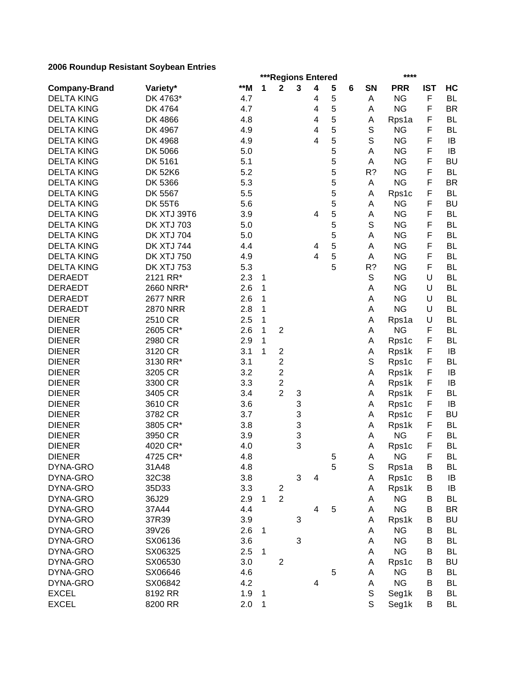|                      |                   |       |   | ***Regions Entered      |   |                         |   |   |             | ****       |            |           |
|----------------------|-------------------|-------|---|-------------------------|---|-------------------------|---|---|-------------|------------|------------|-----------|
| <b>Company-Brand</b> | Variety*          | $*$ M | 1 | $\mathbf 2$             | 3 | $\overline{\mathbf{4}}$ | 5 | 6 | SN          | <b>PRR</b> | <b>IST</b> | HC        |
| <b>DELTA KING</b>    | DK 4763*          | 4.7   |   |                         |   | 4                       | 5 |   | Α           | <b>NG</b>  | F          | <b>BL</b> |
| <b>DELTA KING</b>    | DK 4764           | 4.7   |   |                         |   | 4                       | 5 |   | Α           | <b>NG</b>  | F          | <b>BR</b> |
| <b>DELTA KING</b>    | DK 4866           | 4.8   |   |                         |   | 4                       | 5 |   | Α           | Rps1a      | F          | <b>BL</b> |
| <b>DELTA KING</b>    | DK 4967           | 4.9   |   |                         |   | 4                       | 5 |   | S           | <b>NG</b>  | F          | <b>BL</b> |
| <b>DELTA KING</b>    | DK 4968           | 4.9   |   |                         |   | 4                       | 5 |   | $\mathbb S$ | <b>NG</b>  | F          | IB        |
| <b>DELTA KING</b>    | DK 5066           | 5.0   |   |                         |   |                         | 5 |   | Α           | <b>NG</b>  | F          | IB        |
| <b>DELTA KING</b>    | DK 5161           | 5.1   |   |                         |   |                         | 5 |   | Α           | <b>NG</b>  | F          | <b>BU</b> |
| <b>DELTA KING</b>    | <b>DK 52K6</b>    | 5.2   |   |                         |   |                         | 5 |   | R?          | <b>NG</b>  | F          | <b>BL</b> |
| <b>DELTA KING</b>    | DK 5366           | 5.3   |   |                         |   |                         | 5 |   | Α           | <b>NG</b>  | F          | <b>BR</b> |
| <b>DELTA KING</b>    | DK 5567           | 5.5   |   |                         |   |                         | 5 |   | Α           | Rps1c      | F          | <b>BL</b> |
| <b>DELTA KING</b>    | <b>DK 55T6</b>    | 5.6   |   |                         |   |                         | 5 |   | Α           | <b>NG</b>  | F          | <b>BU</b> |
| <b>DELTA KING</b>    | DK XTJ 39T6       | 3.9   |   |                         |   | 4                       | 5 |   | Α           | <b>NG</b>  | F          | <b>BL</b> |
| <b>DELTA KING</b>    | <b>DK XTJ 703</b> | 5.0   |   |                         |   |                         | 5 |   | S           | <b>NG</b>  | F          | <b>BL</b> |
| <b>DELTA KING</b>    | <b>DK XTJ 704</b> | 5.0   |   |                         |   |                         | 5 |   | Α           | <b>NG</b>  | F          | <b>BL</b> |
| <b>DELTA KING</b>    | <b>DK XTJ 744</b> | 4.4   |   |                         |   | 4                       | 5 |   | A           | <b>NG</b>  | F          | <b>BL</b> |
| <b>DELTA KING</b>    | <b>DK XTJ 750</b> | 4.9   |   |                         |   | 4                       | 5 |   | Α           | <b>NG</b>  | F          | <b>BL</b> |
| <b>DELTA KING</b>    | <b>DK XTJ 753</b> | 5.3   |   |                         |   |                         | 5 |   | R?          | <b>NG</b>  | F          | <b>BL</b> |
| <b>DERAEDT</b>       | 2121 RR*          | 2.3   |   |                         |   |                         |   |   | S           | <b>NG</b>  | U          | <b>BL</b> |
|                      |                   |       | 1 |                         |   |                         |   |   |             |            | U          |           |
| <b>DERAEDT</b>       | 2660 NRR*         | 2.6   | 1 |                         |   |                         |   |   | Α           | <b>NG</b>  |            | <b>BL</b> |
| <b>DERAEDT</b>       | <b>2677 NRR</b>   | 2.6   | 1 |                         |   |                         |   |   | А           | <b>NG</b>  | U          | <b>BL</b> |
| <b>DERAEDT</b>       | <b>2870 NRR</b>   | 2.8   | 1 |                         |   |                         |   |   | Α           | <b>NG</b>  | U          | <b>BL</b> |
| <b>DIENER</b>        | 2510 CR           | 2.5   | 1 |                         |   |                         |   |   | Α           | Rps1a      | U          | <b>BL</b> |
| <b>DIENER</b>        | 2605 CR*          | 2.6   | 1 | $\overline{2}$          |   |                         |   |   | Α           | <b>NG</b>  | F          | <b>BL</b> |
| <b>DIENER</b>        | 2980 CR           | 2.9   | 1 |                         |   |                         |   |   | Α           | Rps1c      | F          | <b>BL</b> |
| <b>DIENER</b>        | 3120 CR           | 3.1   | 1 | $\overline{c}$          |   |                         |   |   | Α           | Rps1k      | F          | IB        |
| <b>DIENER</b>        | 3130 RR*          | 3.1   |   | $\overline{c}$          |   |                         |   |   | S           | Rps1c      | F          | <b>BL</b> |
| <b>DIENER</b>        | 3205 CR           | 3.2   |   | $\overline{c}$          |   |                         |   |   | A           | Rps1k      | F          | IB        |
| <b>DIENER</b>        | 3300 CR           | 3.3   |   | $\overline{c}$          |   |                         |   |   | Α           | Rps1k      | F          | IB        |
| <b>DIENER</b>        | 3405 CR           | 3.4   |   | $\overline{2}$          | 3 |                         |   |   | A           | Rps1k      | F          | <b>BL</b> |
| <b>DIENER</b>        | 3610 CR           | 3.6   |   |                         | 3 |                         |   |   | A           | Rps1c      | F          | IB        |
| <b>DIENER</b>        | 3782 CR           | 3.7   |   |                         | 3 |                         |   |   | Α           | Rps1c      | F          | <b>BU</b> |
| <b>DIENER</b>        | 3805 CR*          | 3.8   |   |                         | 3 |                         |   |   | Α           | Rps1k      | F          | <b>BL</b> |
| <b>DIENER</b>        | 3950 CR           | 3.9   |   |                         | 3 |                         |   |   | Α           | <b>NG</b>  | F          | <b>BL</b> |
| <b>DIENER</b>        | 4020 CR*          | 4.0   |   |                         | 3 |                         |   |   | Α           | Rps1c      | F          | <b>BL</b> |
| <b>DIENER</b>        | 4725 CR*          | 4.8   |   |                         |   |                         | 5 |   | A           | <b>NG</b>  | F.         | BL        |
| DYNA-GRO             | 31A48             | 4.8   |   |                         |   |                         | 5 |   | S           | Rps1a      | B          | BL        |
| DYNA-GRO             | 32C38             | 3.8   |   |                         | 3 | 4                       |   |   | Α           | Rps1c      | B          | IB        |
| DYNA-GRO             | 35D33             | 3.3   |   | $\overline{\mathbf{c}}$ |   |                         |   |   | Α           | Rps1k      | B          | IB        |
| DYNA-GRO             | 36J29             | 2.9   | 1 | $\overline{2}$          |   |                         |   |   | Α           | <b>NG</b>  | B          | <b>BL</b> |
| DYNA-GRO             | 37A44             | 4.4   |   |                         |   | 4                       | 5 |   | Α           | <b>NG</b>  | B          | <b>BR</b> |
| DYNA-GRO             | 37R39             | 3.9   |   |                         | 3 |                         |   |   | Α           | Rps1k      | B          | <b>BU</b> |
| DYNA-GRO             | 39V26             | 2.6   | 1 |                         |   |                         |   |   | Α           | <b>NG</b>  | B          | <b>BL</b> |
| DYNA-GRO             | SX06136           | 3.6   |   |                         | 3 |                         |   |   | Α           | <b>NG</b>  | В          | BL        |
| DYNA-GRO             | SX06325           | 2.5   | 1 |                         |   |                         |   |   | Α           | <b>NG</b>  | В          | <b>BL</b> |
| DYNA-GRO             | SX06530           | 3.0   |   | $\overline{c}$          |   |                         |   |   | Α           | Rps1c      | В          | <b>BU</b> |
| DYNA-GRO             | SX06646           | 4.6   |   |                         |   |                         | 5 |   | Α           | <b>NG</b>  | В          | <b>BL</b> |
| DYNA-GRO             | SX06842           | 4.2   |   |                         |   | 4                       |   |   | А           | <b>NG</b>  | В          | <b>BL</b> |
| <b>EXCEL</b>         | 8192 RR           | 1.9   | 1 |                         |   |                         |   |   | S           | Seg1k      | В          | <b>BL</b> |
| <b>EXCEL</b>         | 8200 RR           | 2.0   | 1 |                         |   |                         |   |   | S           | Seg1k      | В          | <b>BL</b> |
|                      |                   |       |   |                         |   |                         |   |   |             |            |            |           |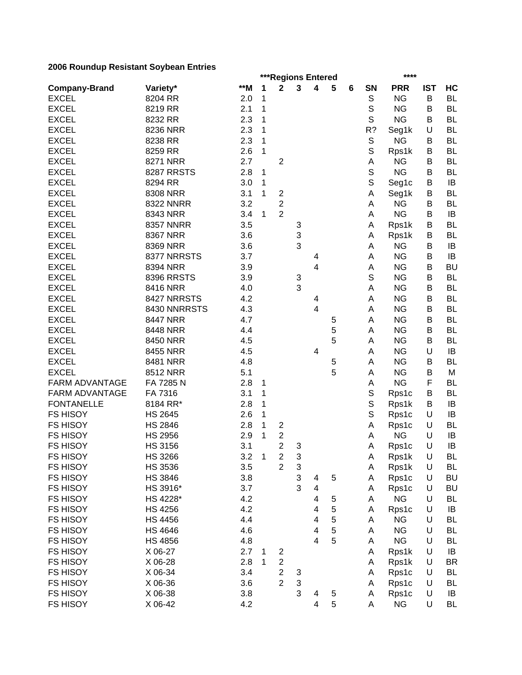|                                    |                    |     |              |                                           |                           | ***Regions Entered      |        |   |             | ****       |            |           |
|------------------------------------|--------------------|-----|--------------|-------------------------------------------|---------------------------|-------------------------|--------|---|-------------|------------|------------|-----------|
| <b>Company-Brand</b>               | Variety*           | **M | 1            | $\mathbf 2$                               | 3                         | $\overline{\mathbf{4}}$ | 5      | 6 | SN          | <b>PRR</b> | <b>IST</b> | HC        |
| <b>EXCEL</b>                       | 8204 RR            | 2.0 | 1            |                                           |                           |                         |        |   | $\mathbb S$ | <b>NG</b>  | B          | <b>BL</b> |
| <b>EXCEL</b>                       | 8219 RR            | 2.1 | 1            |                                           |                           |                         |        |   | $\mathbb S$ | <b>NG</b>  | B          | <b>BL</b> |
| <b>EXCEL</b>                       | 8232 RR            | 2.3 | 1            |                                           |                           |                         |        |   | $\mathsf S$ | <b>NG</b>  | B          | <b>BL</b> |
| <b>EXCEL</b>                       | 8236 NRR           | 2.3 | 1            |                                           |                           |                         |        |   | R?          | Seg1k      | U          | <b>BL</b> |
| <b>EXCEL</b>                       | 8238 RR            | 2.3 | 1            |                                           |                           |                         |        |   | $\mathbb S$ | <b>NG</b>  | В          | <b>BL</b> |
| <b>EXCEL</b>                       | 8259 RR            | 2.6 | 1            |                                           |                           |                         |        |   | $\mathbb S$ | Rps1k      | В          | <b>BL</b> |
| <b>EXCEL</b>                       | 8271 NRR           | 2.7 |              | $\overline{2}$                            |                           |                         |        |   | A           | <b>NG</b>  | B          | <b>BL</b> |
| <b>EXCEL</b>                       | 8287 RRSTS         | 2.8 | 1            |                                           |                           |                         |        |   | $\mathsf S$ | <b>NG</b>  | B          | <b>BL</b> |
| <b>EXCEL</b>                       | 8294 RR            | 3.0 | 1            |                                           |                           |                         |        |   | $\mathbb S$ | Seg1c      | В          | IB        |
| <b>EXCEL</b>                       | 8308 NRR           | 3.1 | 1            | $\boldsymbol{2}$                          |                           |                         |        |   | Α           | Seg1k      | В          | <b>BL</b> |
| <b>EXCEL</b>                       | <b>8322 NNRR</b>   | 3.2 |              | $\overline{c}$                            |                           |                         |        |   | A           | <b>NG</b>  | В          | <b>BL</b> |
| <b>EXCEL</b>                       | 8343 NRR           | 3.4 | 1            | $\overline{2}$                            |                           |                         |        |   | Α           | <b>NG</b>  | В          | IB        |
| <b>EXCEL</b>                       | <b>8357 NNRR</b>   | 3.5 |              |                                           | 3                         |                         |        |   | Α           | Rps1k      | В          | <b>BL</b> |
| <b>EXCEL</b>                       | 8367 NRR           | 3.6 |              |                                           | 3                         |                         |        |   | A           | Rps1k      | В          | <b>BL</b> |
| <b>EXCEL</b>                       | 8369 NRR           | 3.6 |              |                                           | 3                         |                         |        |   | A           | <b>NG</b>  | B          | IB        |
| <b>EXCEL</b>                       | 8377 NRRSTS        | 3.7 |              |                                           |                           | 4                       |        |   | A           | <b>NG</b>  | B          | IB        |
| <b>EXCEL</b>                       | 8394 NRR           | 3.9 |              |                                           |                           | 4                       |        |   | A           | <b>NG</b>  | B          | <b>BU</b> |
| <b>EXCEL</b>                       | <b>8396 RRSTS</b>  | 3.9 |              |                                           | $\ensuremath{\mathsf{3}}$ |                         |        |   | $\mathbb S$ | <b>NG</b>  | В          | <b>BL</b> |
| <b>EXCEL</b>                       | 8416 NRR           | 4.0 |              |                                           | 3                         |                         |        |   | A           | <b>NG</b>  | B          | <b>BL</b> |
| <b>EXCEL</b>                       | 8427 NRRSTS        | 4.2 |              |                                           |                           | 4                       |        |   | А           | <b>NG</b>  | B          | <b>BL</b> |
| <b>EXCEL</b>                       | 8430 NNRRSTS       | 4.3 |              |                                           |                           | $\overline{4}$          |        |   | A           | <b>NG</b>  | B          | <b>BL</b> |
| <b>EXCEL</b>                       | <b>8447 NRR</b>    | 4.7 |              |                                           |                           |                         | 5      |   | A           | <b>NG</b>  | B          | <b>BL</b> |
| <b>EXCEL</b>                       | 8448 NRR           | 4.4 |              |                                           |                           |                         | 5      |   | A           | <b>NG</b>  | B          | <b>BL</b> |
| <b>EXCEL</b>                       | 8450 NRR           | 4.5 |              |                                           |                           |                         | 5      |   | A           | <b>NG</b>  | B          | <b>BL</b> |
| <b>EXCEL</b>                       | 8455 NRR           | 4.5 |              |                                           |                           | 4                       |        |   | А           | <b>NG</b>  | U          | IB        |
| <b>EXCEL</b>                       | 8481 NRR           | 4.8 |              |                                           |                           |                         | 5      |   | A           | <b>NG</b>  | B          | <b>BL</b> |
| <b>EXCEL</b>                       | 8512 NRR           | 5.1 |              |                                           |                           |                         | 5      |   | A           | <b>NG</b>  | B          | M         |
| <b>FARM ADVANTAGE</b>              | FA 7285 N          | 2.8 | 1            |                                           |                           |                         |        |   | Α           | <b>NG</b>  | F          | <b>BL</b> |
| <b>FARM ADVANTAGE</b>              | FA 7316            | 3.1 | 1            |                                           |                           |                         |        |   | S           | Rps1c      | В          | <b>BL</b> |
| <b>FONTANELLE</b>                  | 8184 RR*           | 2.8 | 1            |                                           |                           |                         |        |   | S           | Rps1k      | В          | IB        |
| <b>FS HISOY</b>                    | <b>HS 2645</b>     | 2.6 | 1            |                                           |                           |                         |        |   | S           | Rps1c      | U          | IB        |
| <b>FS HISOY</b>                    | <b>HS 2846</b>     | 2.8 | 1            | $\overline{\mathbf{c}}$                   |                           |                         |        |   | А           | Rps1c      | U          | <b>BL</b> |
| <b>FS HISOY</b>                    | <b>HS 2956</b>     | 2.9 | 1            | $\boldsymbol{2}$                          |                           |                         |        |   | A           | <b>NG</b>  | U          | IB        |
| <b>FS HISOY</b>                    | <b>HS 3156</b>     | 3.1 |              | $\overline{2}$                            | 3                         |                         |        |   | A           | Rps1c      | U          | IB        |
| FS HISOY                           | <b>HS 3266</b>     | 3.2 | $\mathbf{1}$ | $\overline{c}$                            | 3                         |                         |        |   | A           | Rps1k      | U          | BL        |
| <b>FS HISOY</b>                    | <b>HS 3536</b>     | 3.5 |              | $\overline{2}$                            | 3                         |                         |        |   | Α           | Rps1k      | U          | BL        |
| <b>FS HISOY</b>                    | <b>HS 3846</b>     | 3.8 |              |                                           | 3                         | 4                       | 5      |   | A           | Rps1c      | U          | <b>BU</b> |
| <b>FS HISOY</b>                    | HS 3916*           | 3.7 |              |                                           | 3                         | $\overline{\mathbf{4}}$ |        |   | Α           | Rps1c      | U          | <b>BU</b> |
| FS HISOY                           | HS 4228*           | 4.2 |              |                                           |                           | 4                       | 5      |   | Α           | <b>NG</b>  | U          | BL        |
| <b>FS HISOY</b>                    | <b>HS 4256</b>     | 4.2 |              |                                           |                           | 4                       | 5      |   | Α           | Rps1c      | U          | IB        |
| <b>FS HISOY</b>                    | <b>HS 4456</b>     | 4.4 |              |                                           |                           | 4                       | 5      |   | Α           | <b>NG</b>  | U          | <b>BL</b> |
| <b>FS HISOY</b>                    | <b>HS 4646</b>     | 4.6 |              |                                           |                           | 4                       | 5      |   | Α           | <b>NG</b>  | U          | BL        |
| <b>FS HISOY</b>                    | <b>HS 4856</b>     | 4.8 |              |                                           |                           | $\overline{4}$          | 5      |   | А           | <b>NG</b>  | U          | <b>BL</b> |
| <b>FS HISOY</b>                    | X 06-27            | 2.7 |              |                                           |                           |                         |        |   |             | Rps1k      | U          | IB        |
|                                    |                    | 2.8 | 1<br>1       | 2                                         |                           |                         |        |   | Α           |            | U          | <b>BR</b> |
| <b>FS HISOY</b><br><b>FS HISOY</b> | X 06-28<br>X 06-34 | 3.4 |              | $\overline{c}$<br>$\overline{\mathbf{c}}$ |                           |                         |        |   | Α           | Rps1k      | U          | <b>BL</b> |
|                                    |                    | 3.6 |              | $\overline{2}$                            | 3<br>3                    |                         |        |   | Α           | Rps1c      | U          | <b>BL</b> |
| <b>FS HISOY</b>                    | X 06-36            |     |              |                                           | 3                         |                         |        |   | Α           | Rps1c      | U          |           |
| <b>FS HISOY</b>                    | X 06-38            | 3.8 |              |                                           |                           | 4                       | 5<br>5 |   | Α           | Rps1c      |            | IB        |
| <b>FS HISOY</b>                    | X 06-42            | 4.2 |              |                                           |                           | 4                       |        |   | Α           | <b>NG</b>  | U          | <b>BL</b> |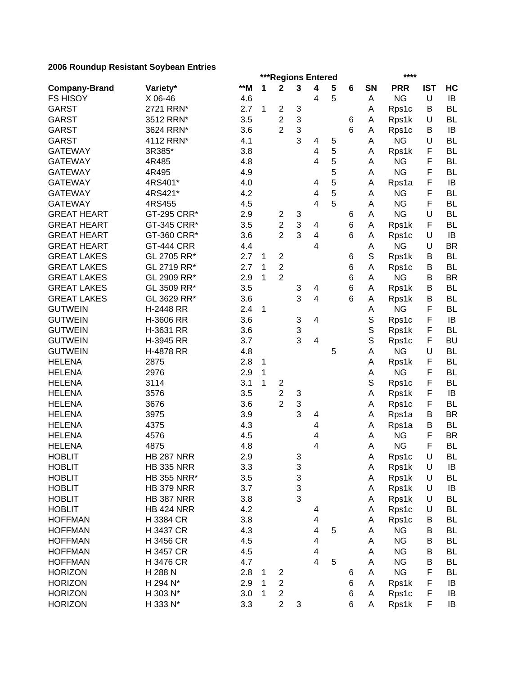|                      |                    |       |   | ***Regions Entered      |   |                         |                |   |             | ****                   |            |                        |
|----------------------|--------------------|-------|---|-------------------------|---|-------------------------|----------------|---|-------------|------------------------|------------|------------------------|
| <b>Company-Brand</b> | Variety*           | $**M$ | 1 | $\mathbf 2$             | 3 | $\overline{\mathbf{4}}$ | 5              | 6 | SN          | <b>PRR</b>             | <b>IST</b> | HC                     |
| <b>FS HISOY</b>      | X 06-46            | 4.6   |   |                         |   | 4                       | 5              |   | Α           | <b>NG</b>              | $\cup$     | IB                     |
| <b>GARST</b>         | 2721 RRN*          | 2.7   | 1 | $\overline{c}$          | 3 |                         |                |   | Α           | Rps1c                  | B          | <b>BL</b>              |
| <b>GARST</b>         | 3512 RRN*          | 3.5   |   | $\mathbf{2}$            | 3 |                         |                | 6 | Α           | Rps1k                  | U          | <b>BL</b>              |
| <b>GARST</b>         | 3624 RRN*          | 3.6   |   | $\overline{2}$          | 3 |                         |                | 6 | A           | Rps1c                  | B          | IB                     |
| <b>GARST</b>         | 4112 RRN*          | 4.1   |   |                         | 3 | 4                       | 5              |   | A           | <b>NG</b>              | U          | <b>BL</b>              |
| <b>GATEWAY</b>       | 3R385*             | 3.8   |   |                         |   | $\overline{\mathbf{4}}$ | 5              |   | A           | Rps1k                  | F          | <b>BL</b>              |
| <b>GATEWAY</b>       | 4R485              | 4.8   |   |                         |   | 4                       | 5              |   | Α           | <b>NG</b>              | F          | <b>BL</b>              |
| <b>GATEWAY</b>       | 4R495              | 4.9   |   |                         |   |                         | 5              |   | Α           | <b>NG</b>              | F          | <b>BL</b>              |
| <b>GATEWAY</b>       | 4RS401*            | 4.0   |   |                         |   | 4                       | 5              |   | A           | Rps1a                  | F          | IB                     |
| <b>GATEWAY</b>       | 4RS421*            | 4.2   |   |                         |   | 4                       | $\overline{5}$ |   | Α           | <b>NG</b>              | F          | <b>BL</b>              |
| <b>GATEWAY</b>       | 4RS455             | 4.5   |   |                         |   | 4                       | 5              |   | Α           | <b>NG</b>              | F          | <b>BL</b>              |
| <b>GREAT HEART</b>   | GT-295 CRR*        | 2.9   |   | $\overline{c}$          | 3 |                         |                | 6 | A           | <b>NG</b>              | U          | <b>BL</b>              |
| <b>GREAT HEART</b>   | GT-345 CRR*        | 3.5   |   | $\overline{c}$          | 3 | 4                       |                | 6 | A           | Rps1k                  | F          | <b>BL</b>              |
| <b>GREAT HEART</b>   | GT-360 CRR*        | 3.6   |   | $\overline{2}$          | 3 | 4                       |                | 6 | A           | Rps1c                  | U          | IB                     |
| <b>GREAT HEART</b>   | <b>GT-444 CRR</b>  | 4.4   |   |                         |   | 4                       |                |   | А           | <b>NG</b>              | U          | <b>BR</b>              |
| <b>GREAT LAKES</b>   | GL 2705 RR*        | 2.7   | 1 | $\overline{\mathbf{c}}$ |   |                         |                | 6 | S           | Rps1k                  | B          | <b>BL</b>              |
| <b>GREAT LAKES</b>   | GL 2719 RR*        | 2.7   | 1 | $\overline{2}$          |   |                         |                | 6 | Α           | Rps1c                  | B          | <b>BL</b>              |
| <b>GREAT LAKES</b>   | GL 2909 RR*        | 2.9   | 1 | $\overline{2}$          |   |                         |                | 6 | Α           | <b>NG</b>              | B          | <b>BR</b>              |
| <b>GREAT LAKES</b>   | GL 3509 RR*        | 3.5   |   |                         | 3 | 4                       |                | 6 | Α           | Rps1k                  | B          | <b>BL</b>              |
| <b>GREAT LAKES</b>   | GL 3629 RR*        | 3.6   |   |                         | 3 | $\overline{\mathbf{4}}$ |                | 6 | Α           | Rps1k                  | B          | <b>BL</b>              |
| <b>GUTWEIN</b>       | H-2448 RR          | 2.4   | 1 |                         |   |                         |                |   | Α           | <b>NG</b>              | F          | <b>BL</b>              |
| <b>GUTWEIN</b>       | H-3606 RR          | 3.6   |   |                         | 3 | 4                       |                |   | S           | Rps1c                  | F          | IB                     |
| <b>GUTWEIN</b>       | H-3631 RR          | 3.6   |   |                         | 3 |                         |                |   | $\mathbb S$ | Rps1k                  | F          | <b>BL</b>              |
| <b>GUTWEIN</b>       | H-3945 RR          | 3.7   |   |                         | 3 | 4                       |                |   | S           | Rps1c                  | F          | <b>BU</b>              |
| <b>GUTWEIN</b>       | H-4878 RR          | 4.8   |   |                         |   |                         | 5              |   | Α           | <b>NG</b>              | U          | <b>BL</b>              |
| <b>HELENA</b>        | 2875               | 2.8   | 1 |                         |   |                         |                |   | А           | Rps1k                  | F          | <b>BL</b>              |
| <b>HELENA</b>        | 2976               | 2.9   | 1 |                         |   |                         |                |   | Α           | <b>NG</b>              | F          | <b>BL</b>              |
| <b>HELENA</b>        | 3114               | 3.1   | 1 | $\overline{c}$          |   |                         |                |   | S           | Rps1c                  | F          | <b>BL</b>              |
| <b>HELENA</b>        | 3576               | 3.5   |   | $\overline{2}$          | 3 |                         |                |   | A           | Rps1k                  | F          | IB                     |
| <b>HELENA</b>        | 3676               | 3.6   |   | $\overline{2}$          | 3 |                         |                |   | A           | Rps1c                  | F          | <b>BL</b>              |
| <b>HELENA</b>        | 3975               | 3.9   |   |                         | 3 | 4                       |                |   | Α           | Rps1a                  | В          | <b>BR</b>              |
| <b>HELENA</b>        | 4375               | 4.3   |   |                         |   | 4                       |                |   | Α           | Rps1a                  | B          | <b>BL</b>              |
| <b>HELENA</b>        | 4576               | 4.5   |   |                         |   | 4                       |                |   | Α           | <b>NG</b>              | F          | <b>BR</b>              |
| <b>HELENA</b>        | 4875               | 4.8   |   |                         |   | 4                       |                |   | A           | <b>NG</b>              | F          | <b>BL</b>              |
| <b>HOBLIT</b>        | <b>HB 287 NRR</b>  | 2.9   |   |                         | 3 |                         |                |   | А           | Rps1c                  | U          | <b>BL</b>              |
| <b>HOBLIT</b>        | <b>HB 335 NRR</b>  | 3.3   |   |                         | 3 |                         |                |   | Α           | Rps1k                  | U          | IB                     |
| <b>HOBLIT</b>        | <b>HB 355 NRR*</b> | 3.5   |   |                         | 3 |                         |                |   | A           | Rps1k                  | U          | <b>BL</b>              |
| <b>HOBLIT</b>        | <b>HB 379 NRR</b>  | 3.7   |   |                         | 3 |                         |                |   | Α           | Rps1k                  | U          | IB                     |
| <b>HOBLIT</b>        | <b>HB 387 NRR</b>  | 3.8   |   |                         | 3 |                         |                |   | Α           | Rps1k                  | U          | <b>BL</b>              |
| <b>HOBLIT</b>        | <b>HB 424 NRR</b>  | 4.2   |   |                         |   | 4                       |                |   | Α           | Rps1c                  | U          | <b>BL</b>              |
| <b>HOFFMAN</b>       | H 3384 CR          | 3.8   |   |                         |   | 4                       |                |   | Α           | Rps1c                  | B          | <b>BL</b>              |
| <b>HOFFMAN</b>       | H 3437 CR          | 4.3   |   |                         |   | 4                       | 5              |   | Α           | <b>NG</b>              | B          | <b>BL</b>              |
| <b>HOFFMAN</b>       | H 3456 CR          | 4.5   |   |                         |   |                         |                |   |             | <b>NG</b>              |            | BL                     |
| <b>HOFFMAN</b>       | H 3457 CR          | 4.5   |   |                         |   | 4<br>4                  |                |   | Α<br>Α      | <b>NG</b>              | В<br>B     | <b>BL</b>              |
|                      | H 3476 CR          |       |   |                         |   | 4                       |                |   |             |                        |            |                        |
| <b>HOFFMAN</b>       |                    | 4.7   |   |                         |   |                         | 5              |   | Α           | <b>NG</b><br><b>NG</b> | B<br>F     | <b>BL</b><br><b>BL</b> |
| <b>HORIZON</b>       | H 288 N            | 2.8   | 1 | 2                       |   |                         |                | 6 | Α           |                        |            |                        |
| <b>HORIZON</b>       | H 294 N*           | 2.9   | 1 | $\overline{\mathbf{c}}$ |   |                         |                | 6 | Α           | Rps1k                  | F          | IB                     |
| <b>HORIZON</b>       | H 303 N*           | 3.0   | 1 | $\overline{c}$          |   |                         |                | 6 | Α           | Rps1c                  | F          | IB                     |
| <b>HORIZON</b>       | H 333 N*           | 3.3   |   | $\overline{c}$          | 3 |                         |                | 6 | A           | Rps1k                  | F          | IB                     |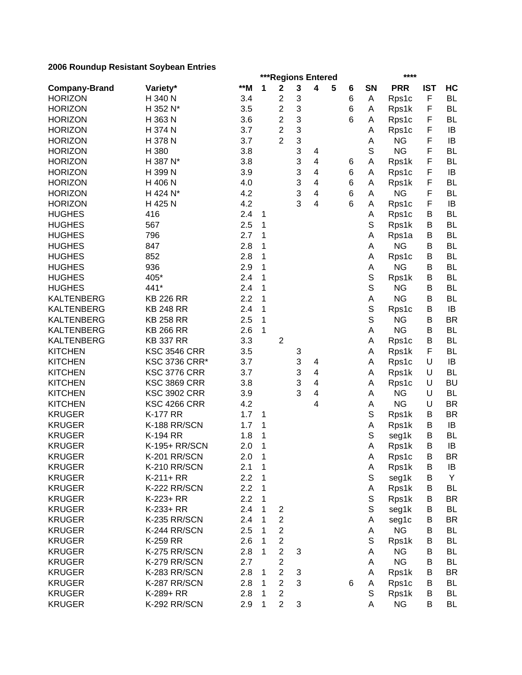|                      |                      |       |        | ***Regions Entered      |   |                         |   |   |             | ****       |            |           |
|----------------------|----------------------|-------|--------|-------------------------|---|-------------------------|---|---|-------------|------------|------------|-----------|
| <b>Company-Brand</b> | Variety*             | $*$ M | 1      | $\mathbf 2$             | 3 | $\overline{\mathbf{4}}$ | 5 | 6 | SN          | <b>PRR</b> | <b>IST</b> | HC        |
| <b>HORIZON</b>       | H 340 N              | 3.4   |        | $\overline{c}$          | 3 |                         |   | 6 | Α           | Rps1c      | F          | <b>BL</b> |
| <b>HORIZON</b>       | H 352 N*             | 3.5   |        | $\overline{c}$          | 3 |                         |   | 6 | Α           | Rps1k      | F          | <b>BL</b> |
| <b>HORIZON</b>       | H 363 N              | 3.6   |        | $\overline{c}$          | 3 |                         |   | 6 | Α           | Rps1c      | F          | <b>BL</b> |
| <b>HORIZON</b>       | H 374 N              | 3.7   |        | $\overline{2}$          | 3 |                         |   |   | A           | Rps1c      | F          | IB        |
| <b>HORIZON</b>       | H 378 N              | 3.7   |        | $\overline{2}$          | 3 |                         |   |   | А           | <b>NG</b>  | F          | IB        |
| <b>HORIZON</b>       | H 380                | 3.8   |        |                         | 3 | 4                       |   |   | S           | <b>NG</b>  | F          | <b>BL</b> |
| <b>HORIZON</b>       | H 387 N*             | 3.8   |        |                         | 3 | $\overline{\mathbf{4}}$ |   | 6 | Α           | Rps1k      | F          | <b>BL</b> |
| <b>HORIZON</b>       | H 399 N              | 3.9   |        |                         | 3 | $\overline{4}$          |   | 6 | Α           | Rps1c      | F          | IB        |
| <b>HORIZON</b>       | H 406 N              | 4.0   |        |                         | 3 | 4                       |   | 6 | A           | Rps1k      | F          | <b>BL</b> |
| <b>HORIZON</b>       | H 424 N*             | 4.2   |        |                         | 3 | 4                       |   | 6 | A           | <b>NG</b>  | F          | <b>BL</b> |
| <b>HORIZON</b>       | H 425 N              | 4.2   |        |                         | 3 | 4                       |   | 6 | A           | Rps1c      | F          | IB        |
| <b>HUGHES</b>        | 416                  | 2.4   | 1      |                         |   |                         |   |   | Α           | Rps1c      | В          | <b>BL</b> |
| <b>HUGHES</b>        | 567                  | 2.5   | 1      |                         |   |                         |   |   | S           | Rps1k      | В          | <b>BL</b> |
| <b>HUGHES</b>        | 796                  | 2.7   | 1      |                         |   |                         |   |   | A           | Rps1a      | В          | <b>BL</b> |
| <b>HUGHES</b>        | 847                  | 2.8   | 1      |                         |   |                         |   |   | Α           | <b>NG</b>  | В          | <b>BL</b> |
| <b>HUGHES</b>        | 852                  | 2.8   | 1      |                         |   |                         |   |   | А           | Rps1c      | В          | <b>BL</b> |
| <b>HUGHES</b>        | 936                  | 2.9   | 1      |                         |   |                         |   |   | А           | <b>NG</b>  | B          | <b>BL</b> |
| <b>HUGHES</b>        | 405*                 | 2.4   | 1      |                         |   |                         |   |   | S           | Rps1k      | B          | <b>BL</b> |
| <b>HUGHES</b>        | 441*                 | 2.4   | 1      |                         |   |                         |   |   | $\mathbb S$ | <b>NG</b>  | B          | <b>BL</b> |
| <b>KALTENBERG</b>    | <b>KB 226 RR</b>     | 2.2   | 1      |                         |   |                         |   |   | А           | <b>NG</b>  | B          | <b>BL</b> |
| <b>KALTENBERG</b>    | <b>KB 248 RR</b>     | 2.4   | 1      |                         |   |                         |   |   | $\mathbb S$ | Rps1c      | В          | IB        |
| <b>KALTENBERG</b>    | <b>KB 258 RR</b>     | 2.5   | 1      |                         |   |                         |   |   | $\mathbb S$ | <b>NG</b>  | В          | <b>BR</b> |
| <b>KALTENBERG</b>    | <b>KB 266 RR</b>     | 2.6   | 1      |                         |   |                         |   |   | Α           | <b>NG</b>  | B          | <b>BL</b> |
| <b>KALTENBERG</b>    | <b>KB 337 RR</b>     | 3.3   |        | $\overline{c}$          |   |                         |   |   | А           | Rps1c      | B          | <b>BL</b> |
| <b>KITCHEN</b>       | <b>KSC 3546 CRR</b>  | 3.5   |        |                         | 3 |                         |   |   | Α           | Rps1k      | F          | <b>BL</b> |
| <b>KITCHEN</b>       | <b>KSC 3736 CRR*</b> | 3.7   |        |                         | 3 | 4                       |   |   | Α           | Rps1c      | U          | IB        |
| <b>KITCHEN</b>       | <b>KSC 3776 CRR</b>  | 3.7   |        |                         | 3 | 4                       |   |   | A           | Rps1k      | U          | <b>BL</b> |
| <b>KITCHEN</b>       | <b>KSC 3869 CRR</b>  | 3.8   |        |                         | 3 | 4                       |   |   | A           | Rps1c      | U          | <b>BU</b> |
| <b>KITCHEN</b>       | <b>KSC 3902 CRR</b>  | 3.9   |        |                         | 3 | 4                       |   |   | A           | <b>NG</b>  | U          | <b>BL</b> |
| <b>KITCHEN</b>       | <b>KSC 4266 CRR</b>  | 4.2   |        |                         |   | 4                       |   |   | Α           | <b>NG</b>  | U          | <b>BR</b> |
| <b>KRUGER</b>        | <b>K-177 RR</b>      | 1.7   | 1      |                         |   |                         |   |   | S           | Rps1k      | В          | <b>BR</b> |
| <b>KRUGER</b>        | K-188 RR/SCN         | 1.7   | 1      |                         |   |                         |   |   | Α           | Rps1k      | В          | IB        |
| <b>KRUGER</b>        | <b>K-194 RR</b>      | 1.8   | 1      |                         |   |                         |   |   | S           | seg1k      | В          | <b>BL</b> |
| <b>KRUGER</b>        | K-195+ RR/SCN        | 2.0   | 1      |                         |   |                         |   |   | Α           | Rps1k      | B          | IB        |
| <b>KRUGER</b>        | K-201 RR/SCN         | 2.0   | 1      |                         |   |                         |   |   | А           | Rps1c      | В          | BR        |
| <b>KRUGER</b>        | K-210 RR/SCN         | 2.1   | 1      |                         |   |                         |   |   | A           | Rps1k      | B          | IB        |
| <b>KRUGER</b>        | $K-211+RR$           | 2.2   | 1      |                         |   |                         |   |   | S           | seg1k      | В          | Y         |
| <b>KRUGER</b>        | K-222 RR/SCN         | 2.2   | 1      |                         |   |                         |   |   | Α           | Rps1k      | В          | <b>BL</b> |
| <b>KRUGER</b>        | K-223+ RR            | 2.2   | 1      |                         |   |                         |   |   | S           | Rps1k      | В          | <b>BR</b> |
| <b>KRUGER</b>        | K-233+ RR            | 2.4   | 1      | $\overline{c}$          |   |                         |   |   | S           | seg1k      | B          | <b>BL</b> |
| <b>KRUGER</b>        | K-235 RR/SCN         | 2.4   | 1      | $\boldsymbol{2}$        |   |                         |   |   | A           | seg1c      | B          | BR        |
| <b>KRUGER</b>        | K-244 RR/SCN         | 2.5   | 1      | $\overline{2}$          |   |                         |   |   | A           | <b>NG</b>  | В          | BL        |
| <b>KRUGER</b>        | K-259 RR             | 2.6   | 1      | $\overline{c}$          |   |                         |   |   | S           | Rps1k      | В          | BL        |
| <b>KRUGER</b>        | K-275 RR/SCN         | 2.8   | 1      | $\overline{2}$          | 3 |                         |   |   | A           | <b>NG</b>  | В          | <b>BL</b> |
| <b>KRUGER</b>        | K-279 RR/SCN         | 2.7   |        | $\overline{\mathbf{c}}$ |   |                         |   |   | A           | <b>NG</b>  | В          | <b>BL</b> |
| <b>KRUGER</b>        | K-283 RR/SCN         | 2.8   |        | $\overline{2}$          | 3 |                         |   |   | Α           |            | B          | <b>BR</b> |
| <b>KRUGER</b>        | K-287 RR/SCN         | 2.8   | 1<br>1 | $\overline{2}$          | 3 |                         |   | 6 |             | Rps1k      | В          | <b>BL</b> |
| <b>KRUGER</b>        |                      |       | 1      | $\overline{c}$          |   |                         |   |   | Α<br>S      | Rps1c      | В          | <b>BL</b> |
|                      | K-289+ RR            | 2.8   |        |                         |   |                         |   |   |             | Rps1k      |            |           |
| <b>KRUGER</b>        | K-292 RR/SCN         | 2.9   | 1      | $\overline{2}$          | 3 |                         |   |   | A           | <b>NG</b>  | B          | <b>BL</b> |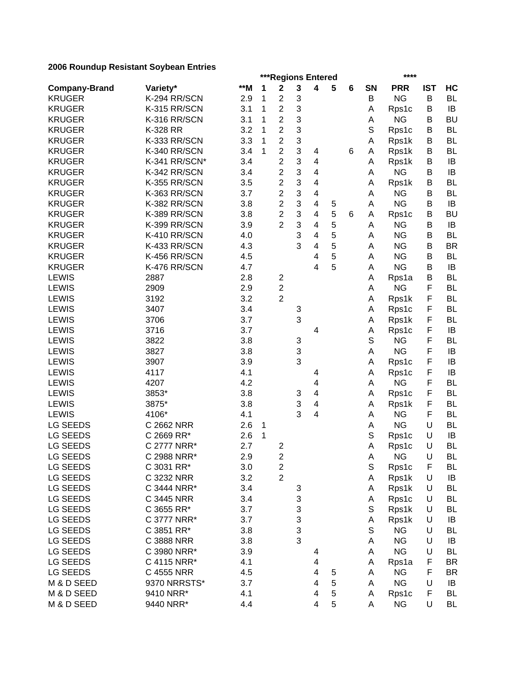|                      |               |       |   | ***Regions Entered      |   |                          |   |   |    | ****       |            |                 |
|----------------------|---------------|-------|---|-------------------------|---|--------------------------|---|---|----|------------|------------|-----------------|
| <b>Company-Brand</b> | Variety*      | $**M$ | 1 | $\mathbf 2$             | 3 | 4                        | 5 | 6 | SN | <b>PRR</b> | <b>IST</b> | HC              |
| <b>KRUGER</b>        | K-294 RR/SCN  | 2.9   | 1 | 2                       | 3 |                          |   |   | B  | <b>NG</b>  | B          | <b>BL</b>       |
| <b>KRUGER</b>        | K-315 RR/SCN  | 3.1   | 1 | $\overline{c}$          | 3 |                          |   |   | Α  | Rps1c      | B          | IB              |
| <b>KRUGER</b>        | K-316 RR/SCN  | 3.1   | 1 | $\overline{c}$          | 3 |                          |   |   | А  | <b>NG</b>  | B          | <b>BU</b>       |
| <b>KRUGER</b>        | K-328 RR      | 3.2   | 1 | $\overline{c}$          | 3 |                          |   |   | S  | Rps1c      | B          | <b>BL</b>       |
| <b>KRUGER</b>        | K-333 RR/SCN  | 3.3   | 1 | $\overline{c}$          | 3 |                          |   |   | Α  | Rps1k      | В          | <b>BL</b>       |
| <b>KRUGER</b>        | K-340 RR/SCN  | 3.4   | 1 | $\overline{2}$          | 3 | 4                        |   | 6 | Α  | Rps1k      | B          | <b>BL</b>       |
| <b>KRUGER</b>        | K-341 RR/SCN* | 3.4   |   | $\overline{c}$          | 3 | 4                        |   |   | Α  | Rps1k      | B          | IB              |
| <b>KRUGER</b>        | K-342 RR/SCN  | 3.4   |   | $\overline{c}$          | 3 | 4                        |   |   | Α  | <b>NG</b>  | B          | IB              |
| <b>KRUGER</b>        | K-355 RR/SCN  | 3.5   |   | $\overline{c}$          | 3 | $\overline{4}$           |   |   | А  | Rps1k      | В          | <b>BL</b>       |
| <b>KRUGER</b>        | K-363 RR/SCN  | 3.7   |   | $\overline{c}$          | 3 | $\overline{\mathcal{A}}$ |   |   | Α  | <b>NG</b>  | В          | <b>BL</b>       |
| <b>KRUGER</b>        | K-382 RR/SCN  | 3.8   |   | $\overline{2}$          | 3 | 4                        | 5 |   | Α  | <b>NG</b>  | B          | IB              |
| <b>KRUGER</b>        | K-389 RR/SCN  | 3.8   |   | $\overline{2}$          | 3 | 4                        | 5 | 6 | A  | Rps1c      | В          | <b>BU</b>       |
| <b>KRUGER</b>        | K-399 RR/SCN  | 3.9   |   | $\overline{2}$          | 3 | 4                        | 5 |   | A  | <b>NG</b>  | B          | IB              |
| <b>KRUGER</b>        | K-410 RR/SCN  | 4.0   |   |                         | 3 | 4                        | 5 |   | Α  | <b>NG</b>  | В          | <b>BL</b>       |
| <b>KRUGER</b>        | K-433 RR/SCN  | 4.3   |   |                         | 3 | 4                        | 5 |   | А  | <b>NG</b>  | B          | <b>BR</b>       |
| <b>KRUGER</b>        | K-456 RR/SCN  | 4.5   |   |                         |   | 4                        | 5 |   | Α  | <b>NG</b>  | B          | <b>BL</b>       |
| <b>KRUGER</b>        | K-476 RR/SCN  | 4.7   |   |                         |   | 4                        | 5 |   | А  | <b>NG</b>  | B          | IB              |
| <b>LEWIS</b>         | 2887          | 2.8   |   | $\overline{\mathbf{c}}$ |   |                          |   |   | А  | Rps1a      | B          | <b>BL</b>       |
| <b>LEWIS</b>         | 2909          | 2.9   |   | $\overline{2}$          |   |                          |   |   | Α  | <b>NG</b>  | F          | <b>BL</b>       |
| <b>LEWIS</b>         | 3192          | 3.2   |   | $\overline{2}$          |   |                          |   |   | А  | Rps1k      | F          | <b>BL</b>       |
| <b>LEWIS</b>         | 3407          | 3.4   |   |                         | 3 |                          |   |   | А  | Rps1c      | F          | <b>BL</b>       |
| <b>LEWIS</b>         | 3706          | 3.7   |   |                         | 3 |                          |   |   | Α  | Rps1k      | F          | <b>BL</b>       |
| LEWIS                | 3716          | 3.7   |   |                         |   | 4                        |   |   | Α  | Rps1c      | F          | IB              |
| <b>LEWIS</b>         | 3822          | 3.8   |   |                         | 3 |                          |   |   | S  | <b>NG</b>  | F          | <b>BL</b>       |
| <b>LEWIS</b>         | 3827          | 3.8   |   |                         | 3 |                          |   |   | Α  | <b>NG</b>  | F          | IB              |
| LEWIS                | 3907          | 3.9   |   |                         | 3 |                          |   |   | А  | Rps1c      | F          | IB              |
| <b>LEWIS</b>         | 4117          | 4.1   |   |                         |   | 4                        |   |   | Α  | Rps1c      | F          | IB              |
| <b>LEWIS</b>         | 4207          | 4.2   |   |                         |   | 4                        |   |   | Α  | <b>NG</b>  | F          | <b>BL</b>       |
| <b>LEWIS</b>         | 3853*         | 3.8   |   |                         | 3 | 4                        |   |   | A  | Rps1c      | F          | <b>BL</b>       |
| <b>LEWIS</b>         | 3875*         | 3.8   |   |                         | 3 | 4                        |   |   | A  | Rps1k      | F          | <b>BL</b>       |
| <b>LEWIS</b>         | 4106*         | 4.1   |   |                         | 3 | 4                        |   |   | А  | <b>NG</b>  | F          | <b>BL</b>       |
| <b>LG SEEDS</b>      | C 2662 NRR    | 2.6   | 1 |                         |   |                          |   |   | А  | <b>NG</b>  | U          | <b>BL</b>       |
| <b>LG SEEDS</b>      | C 2669 RR*    | 2.6   | 1 |                         |   |                          |   |   | S  | Rps1c      | U          | IB              |
| LG SEEDS             | C 2777 NRR*   | 2.7   |   | $\overline{c}$          |   |                          |   |   | А  | Rps1c      | U          | <b>BL</b>       |
| LG SEEDS             | C 2988 NRR*   | 2.9   |   | $\overline{\mathbf{c}}$ |   |                          |   |   | А  | <b>NG</b>  | U          | BL              |
| LG SEEDS             | C 3031 RR*    | 3.0   |   | $\overline{c}$          |   |                          |   |   | S  | Rps1c      | F          | <b>BL</b>       |
| LG SEEDS             | C 3232 NRR    | 3.2   |   | $\overline{2}$          |   |                          |   |   | A  | Rps1k      | U          | IB              |
| <b>LG SEEDS</b>      | C 3444 NRR*   | 3.4   |   |                         | 3 |                          |   |   | Α  | Rps1k      | U          | <b>BL</b>       |
| <b>LG SEEDS</b>      | C 3445 NRR    | 3.4   |   |                         | 3 |                          |   |   | A  | Rps1c      | U          | <b>BL</b>       |
| LG SEEDS             | C 3655 RR*    | 3.7   |   |                         | 3 |                          |   |   | S  | Rps1k      | U          | <b>BL</b>       |
| LG SEEDS             | C 3777 NRR*   | 3.7   |   |                         | 3 |                          |   |   | A  | Rps1k      | U          | IB              |
| LG SEEDS             | C 3851 RR*    | 3.8   |   |                         | 3 |                          |   |   | S  | <b>NG</b>  | U          | <b>BL</b>       |
| <b>LG SEEDS</b>      |               |       |   |                         | 3 |                          |   |   |    | <b>NG</b>  | U          |                 |
|                      | C 3888 NRR    | 3.8   |   |                         |   |                          |   |   | Α  | <b>NG</b>  | U          | IB<br><b>BL</b> |
| LG SEEDS             | C 3980 NRR*   | 3.9   |   |                         |   | 4                        |   |   | Α  |            |            |                 |
| LG SEEDS             | C 4115 NRR*   | 4.1   |   |                         |   | 4                        |   |   | Α  | Rps1a      | F          | <b>BR</b>       |
| LG SEEDS             | C 4555 NRR    | 4.5   |   |                         |   | 4                        | 5 |   | A  | <b>NG</b>  | F          | <b>BR</b>       |
| M & D SEED           | 9370 NRRSTS*  | 3.7   |   |                         |   | 4                        | 5 |   | Α  | <b>NG</b>  | U          | IB              |
| M & D SEED           | 9410 NRR*     | 4.1   |   |                         |   | 4                        | 5 |   | Α  | Rps1c      | F          | <b>BL</b>       |
| M & D SEED           | 9440 NRR*     | 4.4   |   |                         |   | 4                        | 5 |   | Α  | <b>NG</b>  | U          | <b>BL</b>       |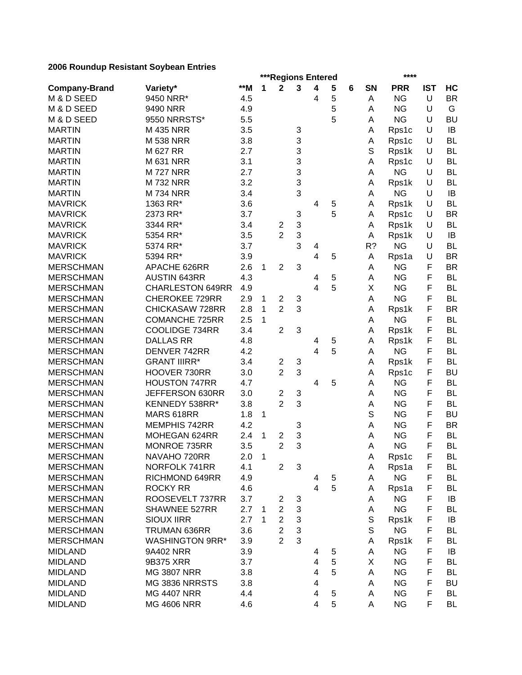|                      |                                     |       |              | ***Regions Entered      |   |                         |        |   |    | ****       |            |                 |
|----------------------|-------------------------------------|-------|--------------|-------------------------|---|-------------------------|--------|---|----|------------|------------|-----------------|
| <b>Company-Brand</b> | Variety*                            | $*$ M | 1            | $\mathbf 2$             | 3 | $\overline{\mathbf{4}}$ | 5      | 6 | SN | <b>PRR</b> | <b>IST</b> | HC              |
| M & D SEED           | 9450 NRR*                           | 4.5   |              |                         |   | 4                       | 5      |   | Α  | <b>NG</b>  | U          | <b>BR</b>       |
| M & D SEED           | 9490 NRR                            | 4.9   |              |                         |   |                         | 5      |   | Α  | <b>NG</b>  | U          | G               |
| M & D SEED           | 9550 NRRSTS*                        | 5.5   |              |                         |   |                         | 5      |   | Α  | <b>NG</b>  | U          | <b>BU</b>       |
| <b>MARTIN</b>        | <b>M435 NRR</b>                     | 3.5   |              |                         | 3 |                         |        |   | A  | Rps1c      | U          | IB              |
| <b>MARTIN</b>        | <b>M 538 NRR</b>                    | 3.8   |              |                         | 3 |                         |        |   | Α  | Rps1c      | U          | <b>BL</b>       |
| <b>MARTIN</b>        | M 627 RR                            | 2.7   |              |                         | 3 |                         |        |   | S  | Rps1k      | U          | <b>BL</b>       |
| <b>MARTIN</b>        | <b>M 631 NRR</b>                    | 3.1   |              |                         | 3 |                         |        |   | Α  | Rps1c      | U          | <b>BL</b>       |
| <b>MARTIN</b>        | <b>M727 NRR</b>                     | 2.7   |              |                         | 3 |                         |        |   | Α  | <b>NG</b>  | U          | <b>BL</b>       |
| <b>MARTIN</b>        | <b>M732 NRR</b>                     | 3.2   |              |                         | 3 |                         |        |   | A  | Rps1k      | U          | <b>BL</b>       |
| <b>MARTIN</b>        | <b>M734 NRR</b>                     | 3.4   |              |                         | 3 |                         |        |   | Α  | <b>NG</b>  | U          | IB              |
| <b>MAVRICK</b>       | 1363 RR*                            | 3.6   |              |                         |   | $\overline{4}$          | 5      |   | A  | Rps1k      | U          | <b>BL</b>       |
| <b>MAVRICK</b>       | 2373 RR*                            | 3.7   |              |                         | 3 |                         | 5      |   | A  | Rps1c      | U          | <b>BR</b>       |
| <b>MAVRICK</b>       | 3344 RR*                            | 3.4   |              | 2                       | 3 |                         |        |   | A  | Rps1k      | U          | <b>BL</b>       |
| <b>MAVRICK</b>       | 5354 RR*                            | 3.5   |              | $\overline{2}$          | 3 |                         |        |   | A  | Rps1k      | U          | IB              |
| <b>MAVRICK</b>       | 5374 RR*                            | 3.7   |              |                         | 3 | 4                       |        |   | R? | <b>NG</b>  | U          | <b>BL</b>       |
| <b>MAVRICK</b>       | 5394 RR*                            | 3.9   |              |                         |   | 4                       | 5      |   | Α  | Rps1a      | U          | <b>BR</b>       |
| <b>MERSCHMAN</b>     | APACHE 626RR                        | 2.6   | 1            | $\overline{2}$          | 3 |                         |        |   | Α  | <b>NG</b>  | F          | <b>BR</b>       |
| <b>MERSCHMAN</b>     | <b>AUSTIN 643RR</b>                 | 4.3   |              |                         |   | 4                       | 5      |   | А  | <b>NG</b>  | F          | <b>BL</b>       |
| <b>MERSCHMAN</b>     | <b>CHARLESTON 649RR</b>             | 4.9   |              |                         |   | 4                       | 5      |   | Χ  | <b>NG</b>  | F          | <b>BL</b>       |
| <b>MERSCHMAN</b>     | <b>CHEROKEE 729RR</b>               | 2.9   | 1            | $\overline{c}$          | 3 |                         |        |   | Α  | <b>NG</b>  | F          | <b>BL</b>       |
| <b>MERSCHMAN</b>     | CHICKASAW 728RR                     | 2.8   | 1            | $\overline{2}$          | 3 |                         |        |   | А  | Rps1k      | F          | <b>BR</b>       |
| <b>MERSCHMAN</b>     | <b>COMANCHE 725RR</b>               | 2.5   | 1            |                         |   |                         |        |   | Α  | <b>NG</b>  | F          | <b>BL</b>       |
| <b>MERSCHMAN</b>     | <b>COOLIDGE 734RR</b>               | 3.4   |              | $\overline{2}$          | 3 |                         |        |   | Α  | Rps1k      | F          | <b>BL</b>       |
| <b>MERSCHMAN</b>     | <b>DALLAS RR</b>                    | 4.8   |              |                         |   | 4                       | 5      |   | Α  | Rps1k      | F          | BL              |
| <b>MERSCHMAN</b>     | DENVER 742RR                        | 4.2   |              |                         |   | 4                       | 5      |   | Α  | <b>NG</b>  | F          | <b>BL</b>       |
| <b>MERSCHMAN</b>     | <b>GRANT IIIRR*</b>                 | 3.4   |              | $\overline{2}$          | 3 |                         |        |   | Α  | Rps1k      | F          | <b>BL</b>       |
| <b>MERSCHMAN</b>     | HOOVER 730RR                        | 3.0   |              | $\overline{2}$          | 3 |                         |        |   | A  | Rps1c      | F          | <b>BU</b>       |
| <b>MERSCHMAN</b>     | <b>HOUSTON 747RR</b>                | 4.7   |              |                         |   | $\overline{4}$          | 5      |   | Α  | <b>NG</b>  | F          | <b>BL</b>       |
| <b>MERSCHMAN</b>     | JEFFERSON 630RR                     | 3.0   |              | 2                       | 3 |                         |        |   | A  | <b>NG</b>  | F          | <b>BL</b>       |
| <b>MERSCHMAN</b>     | KENNEDY 538RR*                      | 3.8   |              | $\overline{2}$          | 3 |                         |        |   | Α  | <b>NG</b>  | F          | <b>BL</b>       |
| <b>MERSCHMAN</b>     | MARS 618RR                          | 1.8   | 1            |                         |   |                         |        |   | S  | <b>NG</b>  | F          | <b>BU</b>       |
| <b>MERSCHMAN</b>     | MEMPHIS 742RR                       | 4.2   |              |                         | 3 |                         |        |   | Α  | <b>NG</b>  | F          | <b>BR</b>       |
| <b>MERSCHMAN</b>     | MOHEGAN 624RR                       | 2.4   | 1            | $\overline{\mathbf{c}}$ | 3 |                         |        |   | Α  | <b>NG</b>  | F          | <b>BL</b>       |
| <b>MERSCHMAN</b>     | MONROE 735RR                        | 3.5   |              | $\overline{2}$          | 3 |                         |        |   | A  | <b>NG</b>  | F          | <b>BL</b>       |
| <b>MERSCHMAN</b>     | NAVAHO 720RR                        | 2.0   | $\mathbf{1}$ |                         |   |                         |        |   | А  | Rps1c      | F          | BL              |
| <b>MERSCHMAN</b>     | NORFOLK 741RR                       | 4.1   |              | $\overline{2}$          | 3 |                         |        |   | Α  | Rps1a      | F          | BL              |
| <b>MERSCHMAN</b>     | RICHMOND 649RR                      | 4.9   |              |                         |   | 4                       | 5      |   | Α  | <b>NG</b>  | F          | <b>BL</b>       |
| <b>MERSCHMAN</b>     | <b>ROCKY RR</b>                     | 4.6   |              |                         |   | $\overline{4}$          | 5      |   | A  | Rps1a      | F          | <b>BL</b>       |
| <b>MERSCHMAN</b>     | ROOSEVELT 737RR                     | 3.7   |              | 2                       | 3 |                         |        |   | Α  | <b>NG</b>  | F          | IB              |
| <b>MERSCHMAN</b>     | SHAWNEE 527RR                       | 2.7   | 1            | $\overline{2}$          | 3 |                         |        |   | Α  | <b>NG</b>  | F          | BL              |
| <b>MERSCHMAN</b>     | <b>SIOUX IIRR</b>                   | 2.7   | 1            | $\overline{2}$          | 3 |                         |        |   | S  | Rps1k      | F          |                 |
|                      |                                     |       |              | $\overline{2}$          | 3 |                         |        |   | S  | <b>NG</b>  | F          | IB<br><b>BL</b> |
| <b>MERSCHMAN</b>     | TRUMAN 636RR                        | 3.6   |              | $\overline{2}$          | 3 |                         |        |   |    |            |            |                 |
| <b>MERSCHMAN</b>     | <b>WASHINGTON 9RR*</b><br>9A402 NRR | 3.9   |              |                         |   |                         |        |   | A  | Rps1k      | F<br>F     | BL              |
| <b>MIDLAND</b>       |                                     | 3.9   |              |                         |   | 4                       | 5      |   | A  | <b>NG</b>  |            | IB              |
| <b>MIDLAND</b>       | 9B375 XRR                           | 3.7   |              |                         |   | 4<br>$\overline{4}$     | 5<br>5 |   | X  | <b>NG</b>  | F<br>F     | <b>BL</b>       |
| <b>MIDLAND</b>       | <b>MG 3807 NRR</b>                  | 3.8   |              |                         |   |                         |        |   | Α  | <b>NG</b>  |            | <b>BL</b>       |
| <b>MIDLAND</b>       | MG 3836 NRRSTS                      | 3.8   |              |                         |   | 4                       |        |   | Α  | <b>NG</b>  | F          | <b>BU</b>       |
| <b>MIDLAND</b>       | <b>MG 4407 NRR</b>                  | 4.4   |              |                         |   | 4                       | 5      |   | Α  | <b>NG</b>  | F          | <b>BL</b>       |
| <b>MIDLAND</b>       | <b>MG 4606 NRR</b>                  | 4.6   |              |                         |   | 4                       | 5      |   | Α  | <b>NG</b>  | F          | <b>BL</b>       |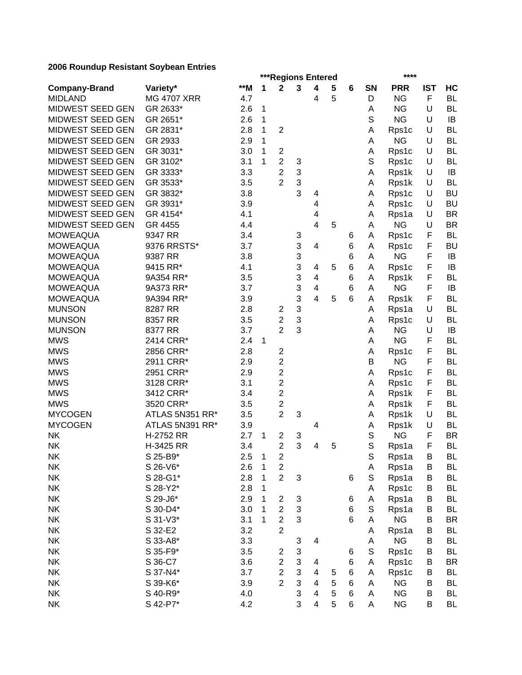|                         |                    |     |              |                                           |                           | ***Regions Entered      |   |   |             | ****               |            |                        |
|-------------------------|--------------------|-----|--------------|-------------------------------------------|---------------------------|-------------------------|---|---|-------------|--------------------|------------|------------------------|
| <b>Company-Brand</b>    | Variety*           | **M | 1            | $\mathbf 2$                               | 3                         | 4                       | 5 | 6 | SN          | <b>PRR</b>         | <b>IST</b> | HC                     |
| <b>MIDLAND</b>          | <b>MG 4707 XRR</b> | 4.7 |              |                                           |                           | 4                       | 5 |   | D           | <b>NG</b>          | F          | <b>BL</b>              |
| MIDWEST SEED GEN        | GR 2633*           | 2.6 | $\mathbf{1}$ |                                           |                           |                         |   |   | Α           | <b>NG</b>          | U          | <b>BL</b>              |
| MIDWEST SEED GEN        | GR 2651*           | 2.6 | $\mathbf{1}$ |                                           |                           |                         |   |   | $\mathbb S$ | <b>NG</b>          | U          | IB                     |
| <b>MIDWEST SEED GEN</b> | GR 2831*           | 2.8 | 1            | $\overline{2}$                            |                           |                         |   |   | Α           | Rps1c              | U          | <b>BL</b>              |
| MIDWEST SEED GEN        | GR 2933            | 2.9 | 1            |                                           |                           |                         |   |   | Α           | <b>NG</b>          | U          | <b>BL</b>              |
| MIDWEST SEED GEN        | GR 3031*           | 3.0 | 1            | $\overline{c}$                            |                           |                         |   |   | Α           | Rps1c              | U          | <b>BL</b>              |
| MIDWEST SEED GEN        | GR 3102*           | 3.1 | 1            | $\overline{c}$                            | 3                         |                         |   |   | S           | Rps1c              | U          | <b>BL</b>              |
| MIDWEST SEED GEN        | GR 3333*           | 3.3 |              | $\overline{2}$                            | 3                         |                         |   |   | Α           | Rps1k              | U          | IB                     |
| MIDWEST SEED GEN        | GR 3533*           | 3.5 |              | $\overline{2}$                            | 3                         |                         |   |   | Α           | Rps1k              | U          | <b>BL</b>              |
| MIDWEST SEED GEN        | GR 3832*           | 3.8 |              |                                           | 3                         | 4                       |   |   | Α           | Rps1c              | U          | <b>BU</b>              |
| MIDWEST SEED GEN        | GR 3931*           | 3.9 |              |                                           |                           | 4                       |   |   | Α           | Rps1c              | U          | <b>BU</b>              |
| MIDWEST SEED GEN        | GR 4154*           | 4.1 |              |                                           |                           | 4                       |   |   | Α           | Rps1a              | U          | <b>BR</b>              |
| MIDWEST SEED GEN        | GR 4455            | 4.4 |              |                                           |                           | 4                       | 5 |   | A           | <b>NG</b>          | U          | <b>BR</b>              |
| <b>MOWEAQUA</b>         | 9347 RR            | 3.4 |              |                                           | 3                         |                         |   | 6 | Α           | Rps1c              | F          | <b>BL</b>              |
| <b>MOWEAQUA</b>         | 9376 RRSTS*        | 3.7 |              |                                           | 3                         | 4                       |   | 6 | Α           | Rps1c              | F          | <b>BU</b>              |
| <b>MOWEAQUA</b>         | 9387 RR            | 3.8 |              |                                           | 3                         |                         |   | 6 | A           | <b>NG</b>          | F          | IB                     |
| <b>MOWEAQUA</b>         | 9415 RR*           | 4.1 |              |                                           | 3                         | 4                       | 5 | 6 | Α           | Rps1c              | F          | IB                     |
| <b>MOWEAQUA</b>         | 9A354 RR*          | 3.5 |              |                                           | 3                         | 4                       |   | 6 | Α           | Rps1k              | F          | <b>BL</b>              |
| <b>MOWEAQUA</b>         | 9A373 RR*          | 3.7 |              |                                           | 3                         | $\overline{\mathbf{4}}$ |   | 6 | Α           | <b>NG</b>          | F          | IB                     |
| <b>MOWEAQUA</b>         | 9A394 RR*          | 3.9 |              |                                           | 3                         | $\overline{4}$          | 5 | 6 | A           | Rps1k              | F          | <b>BL</b>              |
| <b>MUNSON</b>           | 8287 RR            | 2.8 |              | 2                                         | 3                         |                         |   |   | Α           | Rps1a              | U          | <b>BL</b>              |
| <b>MUNSON</b>           | 8357 RR            | 3.5 |              | $\overline{c}$                            | 3                         |                         |   |   | Α           | Rps1c              | U          | <b>BL</b>              |
| <b>MUNSON</b>           | 8377 RR            | 3.7 |              | $\overline{2}$                            | 3                         |                         |   |   | A           | <b>NG</b>          | U          | IB                     |
| <b>MWS</b>              | 2414 CRR*          | 2.4 | 1            |                                           |                           |                         |   |   | Α           | <b>NG</b>          | F          | <b>BL</b>              |
| <b>MWS</b>              | 2856 CRR*          | 2.8 |              | $\overline{c}$                            |                           |                         |   |   | Α           | Rps1c              | F          | <b>BL</b>              |
| <b>MWS</b>              | 2911 CRR*          | 2.9 |              | $\overline{c}$                            |                           |                         |   |   | B           | <b>NG</b>          | F          | <b>BL</b>              |
| <b>MWS</b>              | 2951 CRR*          | 2.9 |              | $\overline{c}$                            |                           |                         |   |   | Α           | Rps1c              | F          | <b>BL</b>              |
| <b>MWS</b>              | 3128 CRR*          | 3.1 |              | $\overline{c}$                            |                           |                         |   |   | Α           | Rps1c              | F          | <b>BL</b>              |
| <b>MWS</b>              | 3412 CRR*          | 3.4 |              | $\overline{2}$                            |                           |                         |   |   | A           | Rps1k              | F          | <b>BL</b>              |
| <b>MWS</b>              | 3520 CRR*          | 3.5 |              | $\overline{c}$                            |                           |                         |   |   | Α           | Rps1k              | F          | <b>BL</b>              |
| <b>MYCOGEN</b>          | ATLAS 5N351 RR*    | 3.5 |              | $\overline{c}$                            | 3                         |                         |   |   | Α           | Rps1k              | U          | <b>BL</b>              |
| <b>MYCOGEN</b>          | ATLAS 5N391 RR*    | 3.9 |              |                                           |                           | 4                       |   |   | Α           | Rps1k              | U          | <b>BL</b>              |
| <b>NK</b>               | H-2752 RR          | 2.7 | 1            | 2                                         | 3                         |                         |   |   | S           | <b>NG</b>          | F          | <b>BR</b>              |
| <b>NK</b>               | H-3425 RR          | 3.4 |              | $\overline{2}$                            | 3                         | 4                       | 5 |   | S           | Rps1a              | F          | <b>BL</b>              |
| <b>NK</b>               | S 25-B9*           | 2.5 | $\mathbf{1}$ | $\overline{\mathbf{c}}$                   |                           |                         |   |   | S           | Rps1a              | В          | BL                     |
| NK                      | S 26-V6*           | 2.6 | $\mathbf{1}$ | $\overline{\mathbf{c}}$                   |                           |                         |   |   | A           | Rps1a              | B          | BL                     |
| <b>NK</b>               | S 28-G1*           | 2.8 | 1            | $\overline{2}$                            | $\ensuremath{\mathsf{3}}$ |                         |   | 6 | S           | Rps1a              | B          | <b>BL</b>              |
| <b>NK</b>               | S 28-Y2*           | 2.8 | 1            |                                           |                           |                         |   |   | Α           | Rps1c              | B          | <b>BL</b>              |
| <b>NK</b>               | S 29-J6*           | 2.9 | 1            | $\overline{\mathbf{c}}$                   | $\ensuremath{\mathsf{3}}$ |                         |   | 6 | Α           | Rps1a              | В          | <b>BL</b>              |
| <b>NK</b>               | S 30-D4*           | 3.0 | 1            | $\overline{c}$                            | 3                         |                         |   | 6 | S           | Rps1a              | B          | BL                     |
| <b>NK</b>               | S 31-V3*           | 3.1 | 1            | $\overline{c}$                            | 3                         |                         |   | 6 | Α           | <b>NG</b>          | B          | <b>BR</b>              |
| <b>NK</b>               | S 32-E2            | 3.2 |              | $\overline{2}$                            |                           |                         |   |   | Α           | Rps1a              | B          | <b>BL</b>              |
| NK                      | S 33-A8*           | 3.3 |              |                                           |                           |                         |   |   |             | <b>NG</b>          |            | <b>BL</b>              |
| <b>NK</b>               | S 35-F9*           | 3.5 |              |                                           | 3<br>3                    | 4                       |   |   | Α<br>S      |                    | В<br>В     | BL                     |
|                         |                    |     |              | 2                                         |                           |                         |   | 6 |             | Rps1c              |            |                        |
| NK                      | S 36-C7            | 3.6 |              | $\overline{\mathbf{c}}$<br>$\overline{2}$ | 3<br>3                    | 4                       |   | 6 | A           | Rps1c              | В          | <b>BR</b><br><b>BL</b> |
| <b>NK</b>               | S 37-N4*           | 3.7 |              | $\overline{2}$                            | 3                         | 4                       | 5 | 6 | Α           | Rps1c<br><b>NG</b> | B          |                        |
| <b>NK</b>               | S 39-K6*           | 3.9 |              |                                           |                           | 4                       | 5 | 6 | Α           |                    | B<br>B     | <b>BL</b>              |
| <b>NK</b>               | S 40-R9*           | 4.0 |              |                                           | 3                         | 4                       | 5 | 6 | Α           | <b>NG</b>          |            | <b>BL</b>              |
| <b>NK</b>               | S 42-P7*           | 4.2 |              |                                           | 3                         | 4                       | 5 | 6 | A           | <b>NG</b>          | B          | <b>BL</b>              |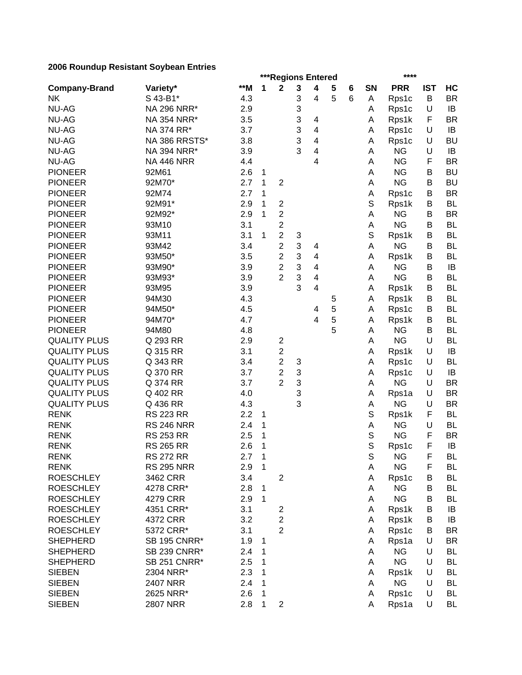|                      |                     |     |              |                         | ***Regions Entered |                         |   |   |             | ****       |            |           |
|----------------------|---------------------|-----|--------------|-------------------------|--------------------|-------------------------|---|---|-------------|------------|------------|-----------|
| <b>Company-Brand</b> | Variety*            | **M | 1            | $\mathbf 2$             | 3                  | 4                       | 5 | 6 | <b>SN</b>   | <b>PRR</b> | <b>IST</b> | HC        |
| <b>NK</b>            | S 43-B1*            | 4.3 |              |                         | 3                  | 4                       | 5 | 6 | Α           | Rps1c      | B          | <b>BR</b> |
| <b>NU-AG</b>         | NA 296 NRR*         | 2.9 |              |                         | 3                  |                         |   |   | Α           | Rps1c      | U          | IB        |
| <b>NU-AG</b>         | NA 354 NRR*         | 3.5 |              |                         | 3                  | 4                       |   |   | Α           | Rps1k      | F          | <b>BR</b> |
| <b>NU-AG</b>         | NA 374 RR*          | 3.7 |              |                         | 3                  | $\overline{\mathbf{4}}$ |   |   | Α           | Rps1c      | U          | IB        |
| <b>NU-AG</b>         | NA 386 RRSTS*       | 3.8 |              |                         | 3                  | 4                       |   |   | Α           | Rps1c      | U          | <b>BU</b> |
| <b>NU-AG</b>         | NA 394 NRR*         | 3.9 |              |                         | 3                  | 4                       |   |   | Α           | <b>NG</b>  | U          | IB        |
| <b>NU-AG</b>         | <b>NA 446 NRR</b>   | 4.4 |              |                         |                    | 4                       |   |   | A           | <b>NG</b>  | F          | <b>BR</b> |
| <b>PIONEER</b>       | 92M61               | 2.6 | 1            |                         |                    |                         |   |   | A           | <b>NG</b>  | B          | <b>BU</b> |
| <b>PIONEER</b>       | 92M70*              | 2.7 | 1            | $\overline{2}$          |                    |                         |   |   | Α           | <b>NG</b>  | B          | <b>BU</b> |
| <b>PIONEER</b>       | 92M74               | 2.7 | 1            |                         |                    |                         |   |   | Α           | Rps1c      | B          | <b>BR</b> |
| <b>PIONEER</b>       | 92M91*              | 2.9 | 1            | $\overline{c}$          |                    |                         |   |   | S           | Rps1k      | В          | <b>BL</b> |
| <b>PIONEER</b>       | 92M92*              | 2.9 | 1            | $\boldsymbol{2}$        |                    |                         |   |   | Α           | <b>NG</b>  | В          | <b>BR</b> |
| <b>PIONEER</b>       | 93M10               | 3.1 |              | $\overline{2}$          |                    |                         |   |   | Α           | <b>NG</b>  | В          | <b>BL</b> |
| <b>PIONEER</b>       | 93M11               | 3.1 | 1            | $\boldsymbol{2}$        | 3                  |                         |   |   | S           | Rps1k      | В          | <b>BL</b> |
| <b>PIONEER</b>       | 93M42               | 3.4 |              | $\overline{c}$          | 3                  | 4                       |   |   | Α           | <b>NG</b>  | B          | <b>BL</b> |
| <b>PIONEER</b>       | 93M50*              | 3.5 |              | $\mathbf 2$             | 3                  | $\overline{\mathbf{4}}$ |   |   | Α           | Rps1k      | B          | <b>BL</b> |
| <b>PIONEER</b>       |                     |     |              |                         | 3                  | $\overline{\mathbf{4}}$ |   |   |             | <b>NG</b>  | B          | IB        |
|                      | 93M90*              | 3.9 |              | 2<br>$\overline{2}$     |                    |                         |   |   | Α           |            |            |           |
| <b>PIONEER</b>       | 93M93*              | 3.9 |              |                         | 3                  | $\overline{\mathbf{4}}$ |   |   | Α           | <b>NG</b>  | B          | <b>BL</b> |
| <b>PIONEER</b>       | 93M95               | 3.9 |              |                         | 3                  | $\overline{\mathbf{4}}$ |   |   | Α           | Rps1k      | B          | <b>BL</b> |
| <b>PIONEER</b>       | 94M30               | 4.3 |              |                         |                    |                         | 5 |   | Α           | Rps1k      | B          | <b>BL</b> |
| <b>PIONEER</b>       | 94M50*              | 4.5 |              |                         |                    | 4                       | 5 |   | Α           | Rps1c      | В          | <b>BL</b> |
| <b>PIONEER</b>       | 94M70*              | 4.7 |              |                         |                    | 4                       | 5 |   | Α           | Rps1k      | B          | <b>BL</b> |
| <b>PIONEER</b>       | 94M80               | 4.8 |              |                         |                    |                         | 5 |   | Α           | <b>NG</b>  | B          | <b>BL</b> |
| <b>QUALITY PLUS</b>  | Q 293 RR            | 2.9 |              | $\boldsymbol{2}$        |                    |                         |   |   | Α           | <b>NG</b>  | U          | <b>BL</b> |
| <b>QUALITY PLUS</b>  | Q 315 RR            | 3.1 |              | $\overline{c}$          |                    |                         |   |   | Α           | Rps1k      | U          | IB        |
| <b>QUALITY PLUS</b>  | Q 343 RR            | 3.4 |              | $\overline{\mathbf{c}}$ | 3                  |                         |   |   | Α           | Rps1c      | U          | <b>BL</b> |
| <b>QUALITY PLUS</b>  | Q 370 RR            | 3.7 |              | $\overline{2}$          | 3                  |                         |   |   | Α           | Rps1c      | U          | IB        |
| <b>QUALITY PLUS</b>  | Q 374 RR            | 3.7 |              | $\overline{2}$          | 3                  |                         |   |   | Α           | <b>NG</b>  | U          | <b>BR</b> |
| <b>QUALITY PLUS</b>  | Q 402 RR            | 4.0 |              |                         | 3                  |                         |   |   | Α           | Rps1a      | U          | <b>BR</b> |
| <b>QUALITY PLUS</b>  | Q 436 RR            | 4.3 |              |                         | 3                  |                         |   |   | Α           | <b>NG</b>  | U          | <b>BR</b> |
| <b>RENK</b>          | <b>RS 223 RR</b>    | 2.2 | 1            |                         |                    |                         |   |   | S           | Rps1k      | F          | <b>BL</b> |
| <b>RENK</b>          | <b>RS 246 NRR</b>   | 2.4 | 1            |                         |                    |                         |   |   | A           | <b>NG</b>  | U          | <b>BL</b> |
| <b>RENK</b>          | <b>RS 253 RR</b>    | 2.5 | 1            |                         |                    |                         |   |   | $\mathbb S$ | <b>NG</b>  | F          | <b>BR</b> |
| <b>RENK</b>          | <b>RS 265 RR</b>    | 2.6 | 1            |                         |                    |                         |   |   | S           | Rps1c      | F          | IB        |
| <b>RENK</b>          | <b>RS 272 RR</b>    | 2.7 | $\mathbf 1$  |                         |                    |                         |   |   | $\mathbb S$ | <b>NG</b>  | F.         | BL        |
| <b>RENK</b>          | <b>RS 295 NRR</b>   | 2.9 | $\mathbf{1}$ |                         |                    |                         |   |   | A           | <b>NG</b>  | F          | <b>BL</b> |
| <b>ROESCHLEY</b>     | 3462 CRR            | 3.4 |              | $\mathbf{2}$            |                    |                         |   |   | Α           | Rps1c      | В          | <b>BL</b> |
| <b>ROESCHLEY</b>     | 4278 CRR*           | 2.8 | 1            |                         |                    |                         |   |   | Α           | <b>NG</b>  | В          | <b>BL</b> |
| <b>ROESCHLEY</b>     | 4279 CRR            | 2.9 | $\mathbf{1}$ |                         |                    |                         |   |   | Α           | <b>NG</b>  | В          | <b>BL</b> |
| <b>ROESCHLEY</b>     | 4351 CRR*           | 3.1 |              | 2                       |                    |                         |   |   | Α           | Rps1k      | В          | IB        |
| <b>ROESCHLEY</b>     | 4372 CRR            | 3.2 |              | $\boldsymbol{2}$        |                    |                         |   |   | Α           | Rps1k      | B          | IB        |
| <b>ROESCHLEY</b>     | 5372 CRR*           | 3.1 |              | $\overline{2}$          |                    |                         |   |   | A           | Rps1c      | B          | <b>BR</b> |
| <b>SHEPHERD</b>      | <b>SB 195 CNRR*</b> | 1.9 | $\mathbf{1}$ |                         |                    |                         |   |   | A           | Rps1a      | U          | BR        |
| <b>SHEPHERD</b>      | <b>SB 239 CNRR*</b> | 2.4 | 1            |                         |                    |                         |   |   | A           | <b>NG</b>  | U          | BL        |
| <b>SHEPHERD</b>      | <b>SB 251 CNRR*</b> | 2.5 | 1            |                         |                    |                         |   |   | A           | <b>NG</b>  | U          | <b>BL</b> |
| <b>SIEBEN</b>        | 2304 NRR*           | 2.3 | 1            |                         |                    |                         |   |   | Α           | Rps1k      | U          | <b>BL</b> |
| <b>SIEBEN</b>        | 2407 NRR            | 2.4 | 1            |                         |                    |                         |   |   | A           | <b>NG</b>  | U          | <b>BL</b> |
|                      |                     |     |              |                         |                    |                         |   |   |             |            |            | <b>BL</b> |
| <b>SIEBEN</b>        | 2625 NRR*           | 2.6 | 1            |                         |                    |                         |   |   | Α           | Rps1c      | U          |           |
| <b>SIEBEN</b>        | <b>2807 NRR</b>     | 2.8 | 1            | $\overline{2}$          |                    |                         |   |   | A           | Rps1a      | U          | <b>BL</b> |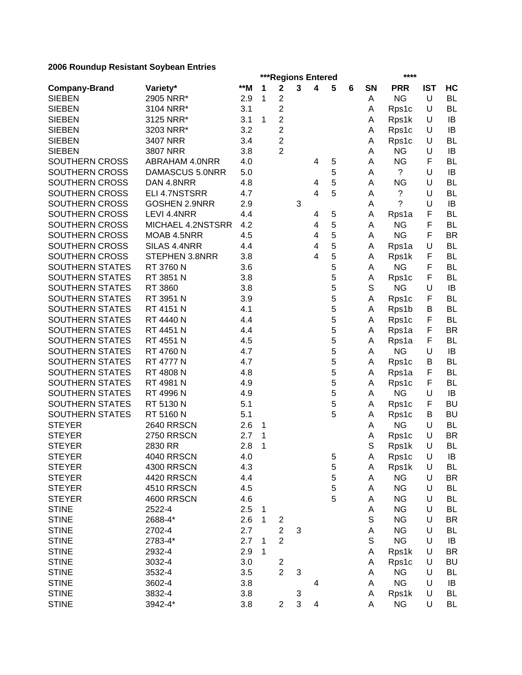|                        |                       |     |   | ***Regions Entered                        |   |   |   |   |             | ****                   |            |           |
|------------------------|-----------------------|-----|---|-------------------------------------------|---|---|---|---|-------------|------------------------|------------|-----------|
| <b>Company-Brand</b>   | Variety*              | **M | 1 | $\mathbf 2$                               | 3 | 4 | 5 | 6 | <b>SN</b>   | <b>PRR</b>             | <b>IST</b> | HC        |
| <b>SIEBEN</b>          | 2905 NRR*             | 2.9 | 1 | 2                                         |   |   |   |   | A           | <b>NG</b>              | U          | <b>BL</b> |
| <b>SIEBEN</b>          | 3104 NRR*             | 3.1 |   | $\overline{c}$                            |   |   |   |   | A           | Rps1c                  | U          | BL        |
| <b>SIEBEN</b>          | 3125 NRR*             | 3.1 | 1 | $\overline{c}$                            |   |   |   |   | A           | Rps1k                  | U          | IB        |
| <b>SIEBEN</b>          | 3203 NRR*             | 3.2 |   | $\boldsymbol{2}$                          |   |   |   |   | А           | Rps1c                  | U          | IB        |
| <b>SIEBEN</b>          | 3407 NRR              | 3.4 |   | $\overline{c}$                            |   |   |   |   | А           | Rps1c                  | U          | BL        |
| <b>SIEBEN</b>          | <b>3807 NRR</b>       | 3.8 |   | $\overline{2}$                            |   |   |   |   | Α           | <b>NG</b>              | U          | IB        |
| SOUTHERN CROSS         | <b>ABRAHAM 4.0NRR</b> | 4.0 |   |                                           |   | 4 | 5 |   | A           | <b>NG</b>              | F          | BL        |
| SOUTHERN CROSS         | DAMASCUS 5.0NRR       | 5.0 |   |                                           |   |   | 5 |   | A           | $\tilde{?}$            | U          | IB        |
| SOUTHERN CROSS         | DAN 4.8NRR            | 4.8 |   |                                           |   | 4 | 5 |   | A           | <b>NG</b>              | U          | BL        |
| SOUTHERN CROSS         | ELI 4.7NSTSRR         | 4.7 |   |                                           |   | 4 | 5 |   | A           | ?                      | U          | BL        |
| SOUTHERN CROSS         | <b>GOSHEN 2.9NRR</b>  | 2.9 |   |                                           | 3 |   |   |   | A           | ?                      | U          | IB        |
| SOUTHERN CROSS         | LEVI 4.4NRR           | 4.4 |   |                                           |   | 4 | 5 |   | Α           | Rps1a                  | F          | <b>BL</b> |
| SOUTHERN CROSS         | MICHAEL 4.2NSTSRR     | 4.2 |   |                                           |   | 4 | 5 |   | Α           | <b>NG</b>              | F          | <b>BL</b> |
| SOUTHERN CROSS         | MOAB 4.5NRR           | 4.5 |   |                                           |   | 4 | 5 |   | A           | <b>NG</b>              | F          | <b>BR</b> |
| SOUTHERN CROSS         | SILAS 4.4NRR          | 4.4 |   |                                           |   | 4 | 5 |   | A           | Rps1a                  | U          | <b>BL</b> |
| SOUTHERN CROSS         | <b>STEPHEN 3.8NRR</b> | 3.8 |   |                                           |   | 4 | 5 |   | Α           | Rps1k                  | F          | <b>BL</b> |
| <b>SOUTHERN STATES</b> | RT 3760 N             | 3.6 |   |                                           |   |   | 5 |   | A           | <b>NG</b>              | F          | <b>BL</b> |
| <b>SOUTHERN STATES</b> | RT 3851 N             | 3.8 |   |                                           |   |   | 5 |   | А           | Rps1c                  | F          | BL        |
| <b>SOUTHERN STATES</b> | RT 3860               | 3.8 |   |                                           |   |   | 5 |   | S           | <b>NG</b>              | U          | IB        |
| SOUTHERN STATES        | RT 3951 N             | 3.9 |   |                                           |   |   | 5 |   | Α           | Rps1c                  | F          | BL        |
| <b>SOUTHERN STATES</b> | RT 4151 N             | 4.1 |   |                                           |   |   | 5 |   | Α           | Rps1b                  | B          | BL        |
| <b>SOUTHERN STATES</b> | RT 4440 N             | 4.4 |   |                                           |   |   | 5 |   | A           | Rps1c                  | F          | BL        |
| SOUTHERN STATES        | RT 4451 N             | 4.4 |   |                                           |   |   | 5 |   | A           | Rps1a                  | F          | <b>BR</b> |
| <b>SOUTHERN STATES</b> | RT 4551 N             | 4.5 |   |                                           |   |   | 5 |   | Α           | Rps1a                  | F          | BL        |
| <b>SOUTHERN STATES</b> | RT 4760 N             | 4.7 |   |                                           |   |   | 5 |   | A           | <b>NG</b>              | U          | IB        |
| SOUTHERN STATES        | <b>RT 4777 N</b>      | 4.7 |   |                                           |   |   | 5 |   | A           | Rps1c                  | В          | BL        |
| SOUTHERN STATES        | RT 4808 N             | 4.8 |   |                                           |   |   | 5 |   | A           | Rps1a                  | F          | BL        |
| SOUTHERN STATES        | RT 4981 N             | 4.9 |   |                                           |   |   | 5 |   | A           | Rps1c                  | F          | BL        |
| SOUTHERN STATES        | RT 4996 N             | 4.9 |   |                                           |   |   | 5 |   | A           | <b>NG</b>              | U          | IB        |
| SOUTHERN STATES        | RT 5130 N             | 5.1 |   |                                           |   |   | 5 |   | Α           | Rps1c                  | F          | <b>BU</b> |
| SOUTHERN STATES        | RT 5160 N             | 5.1 |   |                                           |   |   | 5 |   | A           | Rps1c                  | В          | <b>BU</b> |
| <b>STEYER</b>          | <b>2640 RRSCN</b>     | 2.6 | 1 |                                           |   |   |   |   | Α           | <b>NG</b>              | U          | <b>BL</b> |
| <b>STEYER</b>          | <b>2750 RRSCN</b>     | 2.7 | 1 |                                           |   |   |   |   | Α           | Rps1c                  | U          | <b>BR</b> |
| <b>STEYER</b>          | 2830 RR               | 2.8 | 1 |                                           |   |   |   |   | S           | Rps1k                  | U          | <b>BL</b> |
| <b>STEYER</b>          | <b>4040 RRSCN</b>     | 4.0 |   |                                           |   |   | 5 |   | Α           | Rps1c                  | U          | IB        |
| <b>STEYER</b>          | <b>4300 RRSCN</b>     | 4.3 |   |                                           |   |   | 5 |   | Α           | Rps1k                  | U          | <b>BL</b> |
| <b>STEYER</b>          | <b>4420 RRSCN</b>     | 4.4 |   |                                           |   |   | 5 |   | А           | <b>NG</b>              | U          | <b>BR</b> |
| <b>STEYER</b>          | <b>4510 RRSCN</b>     | 4.5 |   |                                           |   |   | 5 |   | А           | <b>NG</b>              | U          | <b>BL</b> |
| <b>STEYER</b>          | <b>4600 RRSCN</b>     | 4.6 |   |                                           |   |   | 5 |   | А           | <b>NG</b>              | U          | <b>BL</b> |
| <b>STINE</b>           | 2522-4                | 2.5 | 1 |                                           |   |   |   |   | Α           | <b>NG</b>              | U          | <b>BL</b> |
| <b>STINE</b>           | 2688-4*               | 2.6 | 1 | 2                                         |   |   |   |   | $\mathbb S$ | <b>NG</b>              | U          | <b>BR</b> |
| <b>STINE</b>           | 2702-4                | 2.7 |   | $\boldsymbol{2}$                          | 3 |   |   |   | А           | <b>NG</b>              | U          | BL        |
| <b>STINE</b>           | 2783-4*               | 2.7 | 1 | $\overline{2}$                            |   |   |   |   | $\mathbb S$ | <b>NG</b>              | U          | IB        |
| <b>STINE</b>           |                       | 2.9 | 1 |                                           |   |   |   |   |             |                        | U          | <b>BR</b> |
|                        | 2932-4                |     |   |                                           |   |   |   |   | Α           | Rps1k                  |            |           |
| <b>STINE</b>           | 3032-4                | 3.0 |   | $\overline{\mathbf{c}}$<br>$\overline{2}$ |   |   |   |   | Α           | Rps1c                  | U<br>U     | <b>BU</b> |
| <b>STINE</b>           | 3532-4                | 3.5 |   |                                           | 3 |   |   |   | Α           | <b>NG</b><br><b>NG</b> | U          | <b>BL</b> |
| <b>STINE</b>           | 3602-4                | 3.8 |   |                                           |   | 4 |   |   | Α           |                        |            | IB        |
| <b>STINE</b>           | 3832-4                | 3.8 |   |                                           | 3 |   |   |   | Α           | Rps1k                  | U          | <b>BL</b> |
| <b>STINE</b>           | 3942-4*               | 3.8 |   | $\overline{c}$                            | 3 | 4 |   |   | Α           | <b>NG</b>              | U          | <b>BL</b> |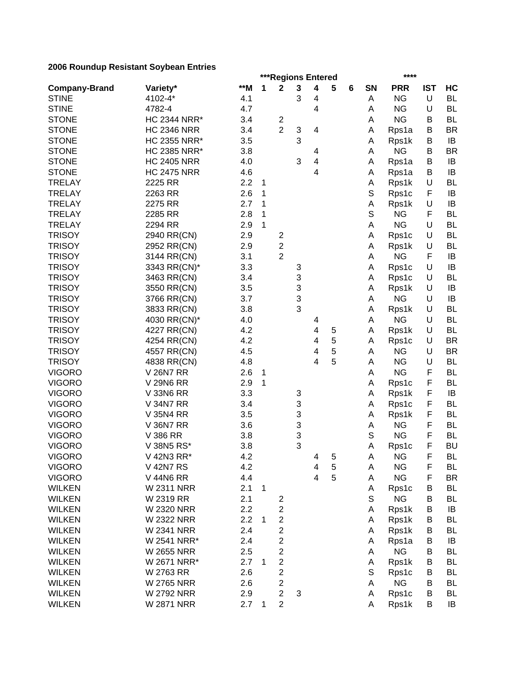|                      |                                      |       |              | ***Regions Entered      |        |                              |        |   |        | ****               |            |           |
|----------------------|--------------------------------------|-------|--------------|-------------------------|--------|------------------------------|--------|---|--------|--------------------|------------|-----------|
| <b>Company-Brand</b> | Variety*                             | $**M$ | 1            | $\mathbf{2}$            | 3      | 4                            | 5      | 6 | SN     | <b>PRR</b>         | <b>IST</b> | HC        |
| <b>STINE</b>         | 4102-4*                              | 4.1   |              |                         | 3      | 4                            |        |   | Α      | <b>NG</b>          | U          | <b>BL</b> |
| <b>STINE</b>         | 4782-4                               | 4.7   |              |                         |        | 4                            |        |   | А      | <b>NG</b>          | U          | <b>BL</b> |
| <b>STONE</b>         | <b>HC 2344 NRR*</b>                  | 3.4   |              | $\overline{\mathbf{c}}$ |        |                              |        |   | Α      | <b>NG</b>          | В          | <b>BL</b> |
| <b>STONE</b>         | <b>HC 2346 NRR</b>                   | 3.4   |              | $\overline{2}$          | 3      | 4                            |        |   | Α      | Rps1a              | В          | <b>BR</b> |
| <b>STONE</b>         | <b>HC 2355 NRR*</b>                  | 3.5   |              |                         | 3      |                              |        |   | Α      | Rps1k              | B          | IB        |
| <b>STONE</b>         | <b>HC 2385 NRR*</b>                  | 3.8   |              |                         |        | 4                            |        |   | Α      | <b>NG</b>          | B          | <b>BR</b> |
| <b>STONE</b>         | <b>HC 2405 NRR</b>                   | 4.0   |              |                         | 3      | $\overline{\mathbf{4}}$      |        |   | Α      | Rps1a              | В          | IB        |
| <b>STONE</b>         | <b>HC 2475 NRR</b>                   | 4.6   |              |                         |        | 4                            |        |   | Α      | Rps1a              | B          | IB        |
| <b>TRELAY</b>        | 2225 RR                              | 2.2   | 1            |                         |        |                              |        |   | Α      | Rps1k              | U          | <b>BL</b> |
| <b>TRELAY</b>        | 2263 RR                              | 2.6   | 1            |                         |        |                              |        |   | S      | Rps1c              | F          | IB        |
| <b>TRELAY</b>        | 2275 RR                              | 2.7   | 1            |                         |        |                              |        |   | Α      | Rps1k              | U          | IB        |
| <b>TRELAY</b>        | 2285 RR                              | 2.8   | 1            |                         |        |                              |        |   | S      | <b>NG</b>          | F          | <b>BL</b> |
| <b>TRELAY</b>        | 2294 RR                              | 2.9   | $\mathbf{1}$ |                         |        |                              |        |   | Α      | <b>NG</b>          | U          | <b>BL</b> |
| <b>TRISOY</b>        | 2940 RR(CN)                          | 2.9   |              | $\overline{\mathbf{c}}$ |        |                              |        |   | Α      | Rps1c              | U          | <b>BL</b> |
| <b>TRISOY</b>        | 2952 RR(CN)                          | 2.9   |              | $\overline{\mathbf{c}}$ |        |                              |        |   | Α      | Rps1k              | U          | <b>BL</b> |
| <b>TRISOY</b>        | 3144 RR(CN)                          | 3.1   |              | $\overline{2}$          |        |                              |        |   | Α      | <b>NG</b>          | F          | IB        |
| <b>TRISOY</b>        | 3343 RR(CN)*                         | 3.3   |              |                         | 3      |                              |        |   | Α      | Rps1c              | U          | IB        |
| <b>TRISOY</b>        | 3463 RR(CN)                          | 3.4   |              |                         | 3      |                              |        |   | Α      | Rps1c              | U          | <b>BL</b> |
| <b>TRISOY</b>        | 3550 RR(CN)                          | 3.5   |              |                         | 3      |                              |        |   | Α      | Rps1k              | U          | IB        |
| <b>TRISOY</b>        | 3766 RR(CN)                          | 3.7   |              |                         | 3      |                              |        |   | Α      | <b>NG</b>          | U          | IB        |
| <b>TRISOY</b>        | 3833 RR(CN)                          | 3.8   |              |                         | 3      |                              |        |   | Α      | Rps1k              | U          | <b>BL</b> |
| <b>TRISOY</b>        | 4030 RR(CN)*                         | 4.0   |              |                         |        | 4                            |        |   | Α      | <b>NG</b>          | U          | <b>BL</b> |
| <b>TRISOY</b>        | 4227 RR(CN)                          | 4.2   |              |                         |        | 4                            | 5      |   | Α      | Rps1k              | U          | <b>BL</b> |
| <b>TRISOY</b>        | 4254 RR(CN)                          | 4.2   |              |                         |        | 4                            | 5      |   | Α      | Rps1c              | U          | <b>BR</b> |
| <b>TRISOY</b>        | 4557 RR(CN)                          | 4.5   |              |                         |        | 4                            | 5      |   | A      | <b>NG</b>          | U          | <b>BR</b> |
| <b>TRISOY</b>        | 4838 RR(CN)                          | 4.8   |              |                         |        | 4                            | 5      |   | A      | <b>NG</b>          | U          | <b>BL</b> |
| <b>VIGORO</b>        | <b>V26N7 RR</b>                      | 2.6   | 1            |                         |        |                              |        |   | Α      | <b>NG</b>          | F          | <b>BL</b> |
| <b>VIGORO</b>        | <b>V 29N6 RR</b>                     | 2.9   | 1            |                         |        |                              |        |   | А      | Rps1c              | F          | <b>BL</b> |
| <b>VIGORO</b>        | V 33N6 RR                            | 3.3   |              |                         | 3      |                              |        |   | Α      | Rps1k              | F          | IB        |
| <b>VIGORO</b>        | <b>V 34N7 RR</b>                     | 3.4   |              |                         | 3      |                              |        |   | Α      | Rps1c              | F          | <b>BL</b> |
| <b>VIGORO</b>        | <b>V 35N4 RR</b>                     | 3.5   |              |                         | 3      |                              |        |   | Α      |                    | F          | <b>BL</b> |
| <b>VIGORO</b>        | <b>V 36N7 RR</b>                     |       |              |                         |        |                              |        |   |        | Rps1k<br><b>NG</b> | F          | <b>BL</b> |
|                      |                                      | 3.6   |              |                         | 3      |                              |        |   | Α<br>S | <b>NG</b>          | F          | <b>BL</b> |
| <b>VIGORO</b>        | V 386 RR<br>V 38N5 RS*               | 3.8   |              |                         | 3<br>3 |                              |        |   |        |                    | F          | <b>BU</b> |
| <b>VIGORO</b>        |                                      | 3.8   |              |                         |        |                              |        |   | Α      | Rps1c              |            |           |
| <b>VIGORO</b>        | V 42N3 RR*                           | 4.2   |              |                         |        | 4                            | 5      |   | A      | <b>NG</b>          | F          | <b>BL</b> |
| <b>VIGORO</b>        | <b>V 42N7 RS</b><br><b>V 44N6 RR</b> | 4.2   |              |                         |        | 4<br>$\overline{\mathbf{4}}$ | 5<br>5 |   | Α      | <b>NG</b>          | F<br>F     | <b>BL</b> |
| <b>VIGORO</b>        |                                      | 4.4   |              |                         |        |                              |        |   | Α      | <b>NG</b>          |            | <b>BR</b> |
| <b>WILKEN</b>        | <b>W 2311 NRR</b>                    | 2.1   | $\mathbf{1}$ |                         |        |                              |        |   | Α      | Rps1c              | B          | <b>BL</b> |
| <b>WILKEN</b>        | W 2319 RR                            | 2.1   |              | 2                       |        |                              |        |   | S      | <b>NG</b>          | B          | BL        |
| <b>WILKEN</b>        | <b>W 2320 NRR</b>                    | 2.2   |              | $\overline{c}$          |        |                              |        |   | Α      | Rps1k              | B          | IB        |
| <b>WILKEN</b>        | W 2322 NRR                           | 2.2   | 1            | $\boldsymbol{2}$        |        |                              |        |   | Α      | Rps1k              | В          | BL        |
| <b>WILKEN</b>        | <b>W 2341 NRR</b>                    | 2.4   |              | 2                       |        |                              |        |   | Α      | Rps1k              | В          | <b>BL</b> |
| <b>WILKEN</b>        | W 2541 NRR*                          | 2.4   |              | 2                       |        |                              |        |   | Α      | Rps1a              | B          | IB        |
| <b>WILKEN</b>        | W 2655 NRR                           | 2.5   |              | $\boldsymbol{2}$        |        |                              |        |   | A      | <b>NG</b>          | В          | <b>BL</b> |
| <b>WILKEN</b>        | W 2671 NRR*                          | 2.7   | 1            | $\boldsymbol{2}$        |        |                              |        |   | Α      | Rps1k              | В          | <b>BL</b> |
| <b>WILKEN</b>        | W 2763 RR                            | 2.6   |              | $\boldsymbol{2}$        |        |                              |        |   | S      | Rps1c              | В          | <b>BL</b> |
| <b>WILKEN</b>        | <b>W 2765 NRR</b>                    | 2.6   |              | $\boldsymbol{2}$        |        |                              |        |   | Α      | <b>NG</b>          | B          | <b>BL</b> |
| <b>WILKEN</b>        | <b>W 2792 NRR</b>                    | 2.9   |              | $\mathbf 2$             | 3      |                              |        |   | Α      | Rps1c              | B          | <b>BL</b> |
| <b>WILKEN</b>        | <b>W 2871 NRR</b>                    | 2.7   | $\mathbf{1}$ | $\overline{2}$          |        |                              |        |   | Α      | Rps1k              | B          | IB        |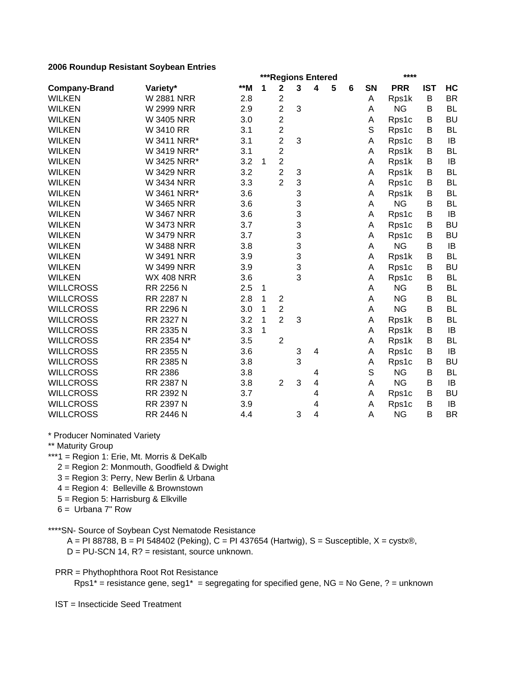|                      |                   | ***Regions Entered |   |                         |   |                         |   |   |    | ****       |            |           |  |  |
|----------------------|-------------------|--------------------|---|-------------------------|---|-------------------------|---|---|----|------------|------------|-----------|--|--|
| <b>Company-Brand</b> | Variety*          | $**M$              | 1 | $\overline{\mathbf{2}}$ | 3 | $\overline{\mathbf{4}}$ | 5 | 6 | SN | <b>PRR</b> | <b>IST</b> | HC        |  |  |
| <b>WILKEN</b>        | <b>W 2881 NRR</b> | 2.8                |   | $\overline{c}$          |   |                         |   |   | Α  | Rps1k      | B          | <b>BR</b> |  |  |
| <b>WILKEN</b>        | <b>W 2999 NRR</b> | 2.9                |   | $\overline{c}$          | 3 |                         |   |   | A  | <b>NG</b>  | B          | <b>BL</b> |  |  |
| <b>WILKEN</b>        | <b>W 3405 NRR</b> | 3.0                |   | $\overline{c}$          |   |                         |   |   | Α  | Rps1c      | В          | <b>BU</b> |  |  |
| <b>WILKEN</b>        | W 3410 RR         | 3.1                |   | $\overline{\mathbf{c}}$ |   |                         |   |   | S  | Rps1c      | B          | <b>BL</b> |  |  |
| <b>WILKEN</b>        | W 3411 NRR*       | 3.1                |   | 2                       | 3 |                         |   |   | Α  | Rps1c      | B          | IB        |  |  |
| <b>WILKEN</b>        | W 3419 NRR*       | 3.1                |   | $\overline{c}$          |   |                         |   |   | Α  | Rps1k      | B          | <b>BL</b> |  |  |
| <b>WILKEN</b>        | W 3425 NRR*       | 3.2                | 1 | $\overline{c}$          |   |                         |   |   | Α  | Rps1k      | В          | IB        |  |  |
| <b>WILKEN</b>        | <b>W 3429 NRR</b> | 3.2                |   | $\overline{2}$          | 3 |                         |   |   | A  | Rps1k      | B          | <b>BL</b> |  |  |
| <b>WILKEN</b>        | <b>W 3434 NRR</b> | 3.3                |   | $\overline{2}$          | 3 |                         |   |   | Α  | Rps1c      | B          | <b>BL</b> |  |  |
| <b>WILKEN</b>        | W 3461 NRR*       | 3.6                |   |                         | 3 |                         |   |   | Α  | Rps1k      | B          | <b>BL</b> |  |  |
| <b>WILKEN</b>        | <b>W 3465 NRR</b> | 3.6                |   |                         | 3 |                         |   |   | Α  | <b>NG</b>  | B          | <b>BL</b> |  |  |
| <b>WILKEN</b>        | <b>W 3467 NRR</b> | 3.6                |   |                         | 3 |                         |   |   | Α  | Rps1c      | B          | IB        |  |  |
| <b>WILKEN</b>        | <b>W 3473 NRR</b> | 3.7                |   |                         | 3 |                         |   |   | A  | Rps1c      | В          | <b>BU</b> |  |  |
| <b>WILKEN</b>        | <b>W 3479 NRR</b> | 3.7                |   |                         | 3 |                         |   |   | Α  | Rps1c      | В          | <b>BU</b> |  |  |
| <b>WILKEN</b>        | <b>W 3488 NRR</b> | 3.8                |   |                         | 3 |                         |   |   | Α  | <b>NG</b>  | B          | IB        |  |  |
| <b>WILKEN</b>        | <b>W 3491 NRR</b> | 3.9                |   |                         | 3 |                         |   |   | A  | Rps1k      | B          | <b>BL</b> |  |  |
| <b>WILKEN</b>        | <b>W 3499 NRR</b> | 3.9                |   |                         | 3 |                         |   |   | Α  | Rps1c      | B          | <b>BU</b> |  |  |
| <b>WILKEN</b>        | <b>WX 408 NRR</b> | 3.6                |   |                         | 3 |                         |   |   | Α  | Rps1c      | B          | <b>BL</b> |  |  |
| <b>WILLCROSS</b>     | RR 2256 N         | 2.5                | 1 |                         |   |                         |   |   | Α  | <b>NG</b>  | B          | <b>BL</b> |  |  |
| <b>WILLCROSS</b>     | RR 2287 N         | 2.8                | 1 | $\overline{c}$          |   |                         |   |   | A  | <b>NG</b>  | B          | <b>BL</b> |  |  |
| <b>WILLCROSS</b>     | RR 2296 N         | 3.0                | 1 | $\overline{c}$          |   |                         |   |   | A  | <b>NG</b>  | B          | <b>BL</b> |  |  |
| <b>WILLCROSS</b>     | RR 2327 N         | 3.2                | 1 | $\overline{2}$          | 3 |                         |   |   | Α  | Rps1k      | В          | <b>BL</b> |  |  |
| <b>WILLCROSS</b>     | RR 2335 N         | 3.3                | 1 |                         |   |                         |   |   | Α  | Rps1k      | B          | IB        |  |  |
| <b>WILLCROSS</b>     | RR 2354 N*        | 3.5                |   | $\overline{2}$          |   |                         |   |   | Α  | Rps1k      | B          | BL        |  |  |
| <b>WILLCROSS</b>     | RR 2355 N         | 3.6                |   |                         | 3 | $\overline{4}$          |   |   | Α  | Rps1c      | B          | IB        |  |  |
| <b>WILLCROSS</b>     | RR 2385 N         | 3.8                |   |                         | 3 |                         |   |   | Α  | Rps1c      | B          | <b>BU</b> |  |  |
| <b>WILLCROSS</b>     | <b>RR 2386</b>    | 3.8                |   |                         |   | 4                       |   |   | S  | <b>NG</b>  | B          | <b>BL</b> |  |  |
| <b>WILLCROSS</b>     | RR 2387 N         | 3.8                |   | $\overline{2}$          | 3 | $\overline{\mathbf{4}}$ |   |   | A  | <b>NG</b>  | B          | IB        |  |  |
| <b>WILLCROSS</b>     | RR 2392 N         | 3.7                |   |                         |   | 4                       |   |   | Α  | Rps1c      | B          | <b>BU</b> |  |  |
| <b>WILLCROSS</b>     | RR 2397 N         | 3.9                |   |                         |   | 4                       |   |   | Α  | Rps1c      | Β          | IB        |  |  |
| <b>WILLCROSS</b>     | RR 2446 N         | 4.4                |   |                         | 3 | 4                       |   |   | Α  | <b>NG</b>  | B          | <b>BR</b> |  |  |

\* Producer Nominated Variety

\*\* Maturity Group

\*\*\*1 = Region 1: Erie, Mt. Morris & DeKalb

2 = Region 2: Monmouth, Goodfield & Dwight

3 = Region 3: Perry, New Berlin & Urbana

4 = Region 4: Belleville & Brownstown

5 = Region 5: Harrisburg & Elkville

6 = Urbana 7" Row

\*\*\*\*SN- Source of Soybean Cyst Nematode Resistance

 $A = PI 88788$ , B = PI 548402 (Peking), C = PI 437654 (Hartwig), S = Susceptible, X = cystx®,

D = PU-SCN 14, R? = resistant, source unknown.

PRR = Phythophthora Root Rot Resistance

Rps1<sup>\*</sup> = resistance gene, seg1<sup>\*</sup> = segregating for specified gene, NG = No Gene, ? = unknown

IST = Insecticide Seed Treatment